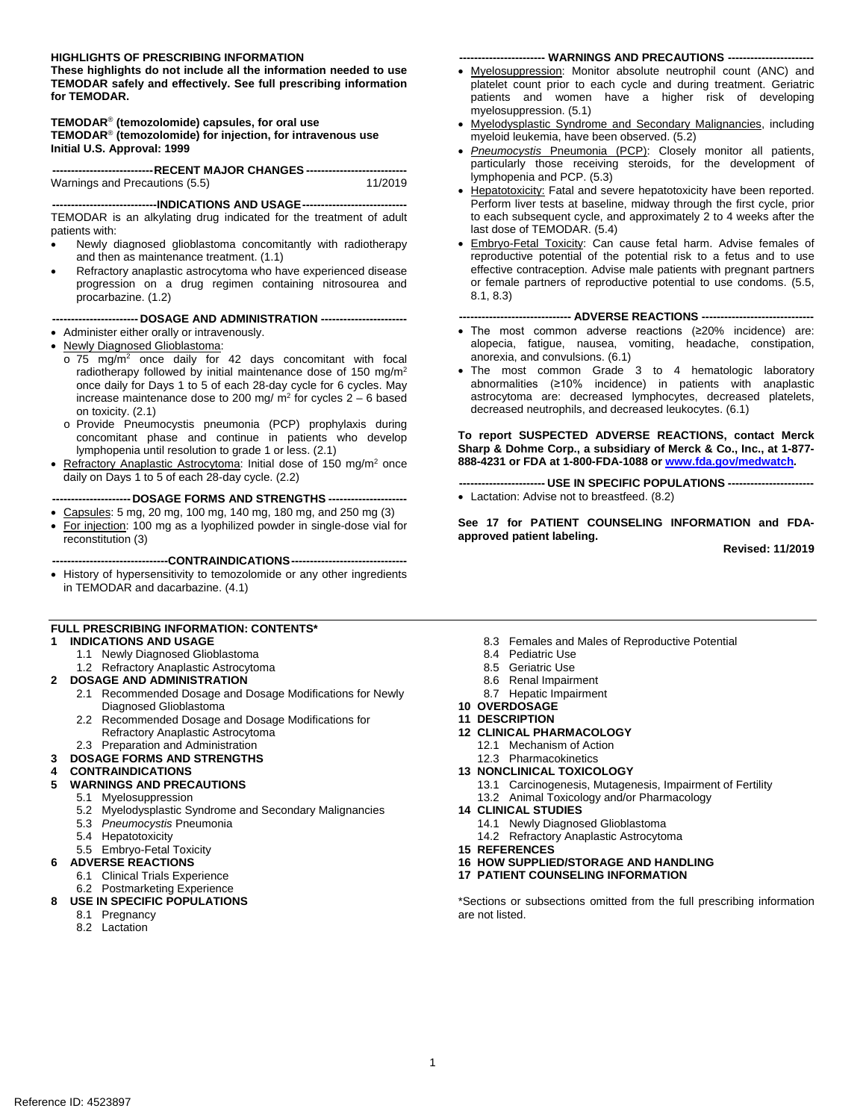## **HIGHLIGHTS OF PRESCRIBING INFORMATION ----------------------- WARNINGS AND PRECAUTIONS ----------------------**

 **TEMODAR safely and effectively. See full prescribing information These highlights do not include all the information needed to use for TEMODAR.** 

**TEMODAR**® **(temozolomide) capsules, for oral use TEMODAR**® **(temozolomide) for injection, for intravenous use Initial U.S. Approval: 1999** 

| -----------------------------RECENT MAJOR CHANGES ----------------------------- |         |
|---------------------------------------------------------------------------------|---------|
| Warnings and Precautions (5.5)                                                  | 11/2019 |

**----------------------------INDICATIONS AND USAGE---------------------------** TEMODAR is an alkylating drug indicated for the treatment of adult patients with:

- Newly diagnosed glioblastoma concomitantly with radiotherapy and then as maintenance treatment. (1.1)
- Refractory anaplastic astrocytoma who have experienced disease progression on a drug regimen containing nitrosourea and procarbazine. (1.2)

**----------------------- DOSAGE AND ADMINISTRATION ----------------------**

- • Administer either orally or intravenously.
- Newly Diagnosed Glioblastoma:
	- $\circ$  75 mg/m<sup>2</sup> once daily for 42 days concomitant with focal radiotherapy followed by initial maintenance dose of 150 mg/m<sup>2</sup> once daily for Days 1 to 5 of each 28-day cycle for 6 cycles. May increase maintenance dose to 200 mg/  $m<sup>2</sup>$  for cycles 2 – 6 based on toxicity. (2.1)
	- o Provide Pneumocystis pneumonia (PCP) prophylaxis during concomitant phase and continue in patients who develop lymphopenia until resolution to grade 1 or less. (2.1)
- daily on Days 1 to 5 of each 28-day cycle. (2.2) Refractory Anaplastic Astrocytoma: Initial dose of 150 mg/m<sup>2</sup> once

**--------------------- DOSAGE FORMS AND STRENGTHS --------------------**

- Capsules: 5 mg, 20 mg, 100 mg, 140 mg, 180 mg, and 250 mg (3)
- For injection: 100 mg as a lyophilized powder in single-dose vial for reconstitution (3)

**-------------------------------CONTRAINDICATIONS------------------------------**

• History of hypersensitivity to temozolomide or any other ingredients in TEMODAR and dacarbazine. (4.1)

## **FULL PRESCRIBING INFORMATION: CONTENTS\***

## **1 INDICATIONS AND USAGE**

- 1.1 Newly Diagnosed Glioblastoma
- 1.2 Refractory Anaplastic Astrocytoma
- **2 DOSAGE AND ADMINISTRATION** 
	- 2.1 Recommended Dosage and Dosage Modifications for Newly Diagnosed Glioblastoma
	- 2.2 Recommended Dosage and Dosage Modifications for Refractory Anaplastic Astrocytoma
- 2.3 Preparation and Administration

## **3 DOSAGE FORMS AND STRENGTHS**

- **4 CONTRAINDICATIONS** 
	- **5 WARNINGS AND PRECAUTIONS** 
		- 5.1 Myelosuppression
		- 5.2 Myelodysplastic Syndrome and Secondary Malignancies
		- 5.3 *Pneumocystis* Pneumonia
		- 5.4 Hepatotoxicity
	- 5.5 Embryo-Fetal Toxicity
- **6 ADVERSE REACTIONS**
- 6.1 Clinical Trials Experience
- 6.2 Postmarketing Experience
- **8 USE IN SPECIFIC POPULATIONS** 
	- 8.1 Pregnancy
	- 8.2 Lactation

- Myelosuppression: Monitor absolute neutrophil count (ANC) and platelet count prior to each cycle and during treatment. Geriatric patients and women have a higher risk of developing myelosuppression. (5.1)
- myeloid leukemia, have been observed. (5.2) • Myelodysplastic Syndrome and Secondary Malignancies, including
- lymphopenia and PCP. (5.3) • *Pneumocystis* Pneumonia (PCP): Closely monitor all patients, particularly those receiving steroids, for the development of
- Perform liver tests at baseline, midway through the first cycle, prior to each subsequent cycle, and approximately 2 to 4 weeks after the last dose of TEMODAR. (5.4) • Hepatotoxicity: Fatal and severe hepatotoxicity have been reported.
- 8.1, 8.3) • Embryo-Fetal Toxicity: Can cause fetal harm. Advise females of reproductive potential of the potential risk to a fetus and to use effective contraception. Advise male patients with pregnant partners or female partners of reproductive potential to use condoms. (5.5,

## **------------------------------ ADVERSE REACTIONS -----------------------------**

- • The most common adverse reactions (≥20% incidence) are: alopecia, fatigue, nausea, vomiting, headache, constipation, anorexia, and convulsions. (6.1)
- abnormalities (≥10% incidence) in patients with anaplastic astrocytoma are: decreased lymphocytes, decreased platelets, • The most common Grade 3 to 4 hematologic laboratory decreased neutrophils, and decreased leukocytes. (6.1)

 **Sharp & Dohme Corp., a subsidiary of Merck & Co., Inc., at 1-877 To report SUSPECTED ADVERSE REACTIONS, contact Merck 888-4231 or FDA at 1-800-FDA-1088 o[r www.fda.gov/medwatch](http://sharepoint.fda.gov/orgs/CDER-OHOP-DOP2/Shared%20Documents/RPM_Information/Gina_Davis/Merck%20Sharp%20and%20Dohme/SUPPLEMENTS/Labeling/LABELING/www.fda.gov/medwatch)***.* 

**----------------------- USE IN SPECIFIC POPULATIONS ----------------------** • Lactation: Advise not to breastfeed. (8.2)

 **approved patient labeling. Revised: 11/2019 See 17 for PATIENT COUNSELING INFORMATION and FDA-**

- 8.3 Females and Males of Reproductive Potential
- 8.4 Pediatric Use
- 8.5 Geriatric Use
- 8.6 Renal Impairment
- 8.7 Hepatic Impairment
- **10 OVERDOSAGE**
- **11 DESCRIPTION**
- **12 CLINICAL PHARMACOLOGY** 
	- 12.1 Mechanism of Action
	- 12.3 Pharmacokinetics
- **13 NONCLINICAL TOXICOLOGY** 
	- 13.1 Carcinogenesis, Mutagenesis, Impairment of Fertility 13.2 Animal Toxicology and/or Pharmacology
- **14 CLINICAL STUDIES** 
	- 14.1 Newly Diagnosed Glioblastoma
	- 14.2 Refractory Anaplastic Astrocytoma
- **15 REFERENCES**
- **16 HOW SUPPLIED/STORAGE AND HANDLING**
- **17 PATIENT COUNSELING INFORMATION**

 \*Sections or subsections omitted from the full prescribing information are not listed.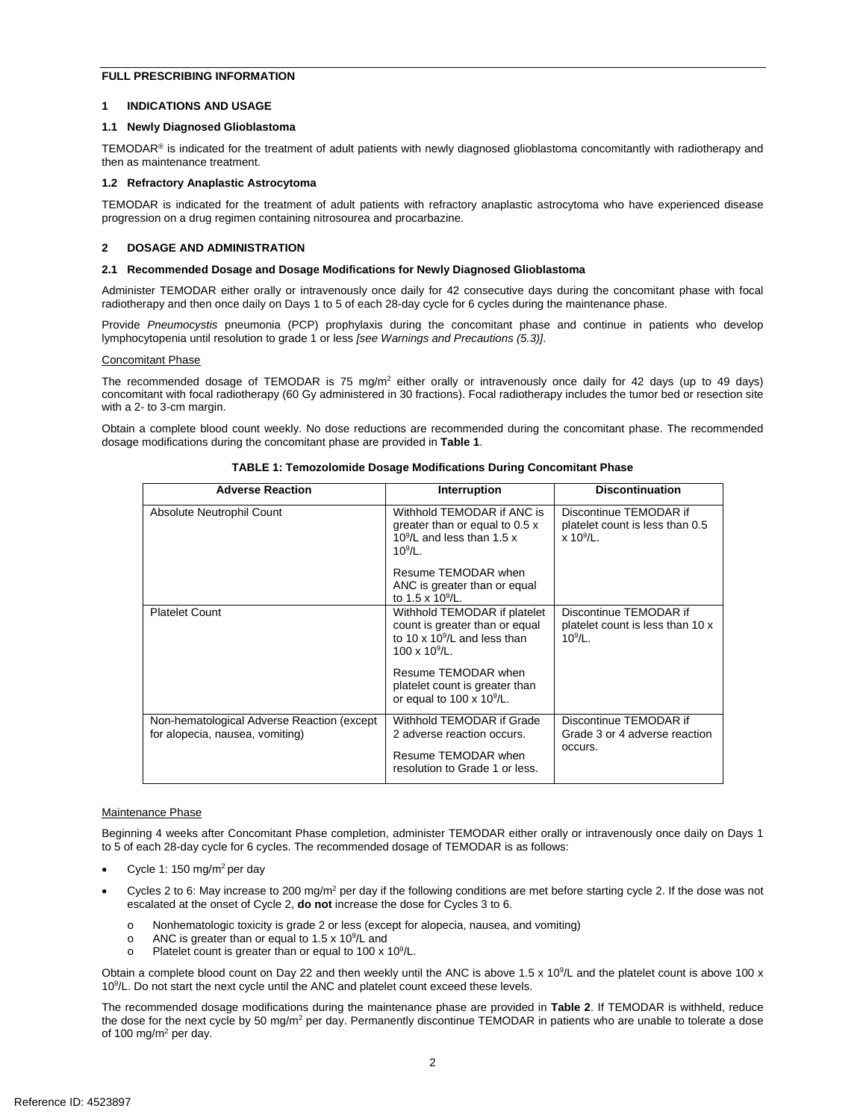## **FULL PRESCRIBING INFORMATION**

## **1 INDICATIONS AND USAGE**

## **1.1 Newly Diagnosed Glioblastoma**

TEMODAR<sup>®</sup> is indicated for the treatment of adult patients with newly diagnosed glioblastoma concomitantly with radiotherapy and then as maintenance treatment.

## **1.2 Refractory Anaplastic Astrocytoma**

 TEMODAR is indicated for the treatment of adult patients with refractory anaplastic astrocytoma who have experienced disease progression on a drug regimen containing nitrosourea and procarbazine.

## **2 DOSAGE AND ADMINISTRATION**

#### **2.1 Recommended Dosage and Dosage Modifications for Newly Diagnosed Glioblastoma**

 Administer TEMODAR either orally or intravenously once daily for 42 consecutive days during the concomitant phase with focal radiotherapy and then once daily on Days 1 to 5 of each 28-day cycle for 6 cycles during the maintenance phase.

 lymphocytopenia until resolution to grade 1 or less *[see Warnings and Precautions (5.3)]*. Provide Pneumocystis pneumonia (PCP) prophylaxis during the concomitant phase and continue in patients who develop

#### Concomitant Phase

The recommended dosage of TEMODAR is 75 mg/m<sup>2</sup> either orally or intravenously once daily for 42 days (up to 49 days) concomitant with focal radiotherapy (60 Gy administered in 30 fractions). Focal radiotherapy includes the tumor bed or resection site with a 2- to 3-cm margin.

Obtain a complete blood count weekly. No dose reductions are recommended during the concomitant phase. The recommended dosage modifications during the concomitant phase are provided in **Table 1**.

| <b>Adverse Reaction</b>                                                       | Interruption                                                                                                                 | <b>Discontinuation</b>                                                      |
|-------------------------------------------------------------------------------|------------------------------------------------------------------------------------------------------------------------------|-----------------------------------------------------------------------------|
| Absolute Neutrophil Count                                                     | Withhold TEMODAR if ANC is<br>greater than or equal to 0.5 x<br>10 $9$ /L and less than 1.5 x<br>$10^9$ /L.                  | Discontinue TEMODAR if<br>platelet count is less than 0.5<br>$x 10^{9}/L$ . |
|                                                                               | Resume TEMODAR when<br>ANC is greater than or equal<br>to 1.5 x $10^9$ /L.                                                   |                                                                             |
| <b>Platelet Count</b>                                                         | Withhold TEMODAR if platelet<br>count is greater than or equal<br>to 10 x $10^9$ /L and less than<br>$100 \times 10^{9}$ /L. | Discontinue TEMODAR if<br>platelet count is less than 10 x<br>$10^{9}/I$ .  |
|                                                                               | Resume TEMODAR when<br>platelet count is greater than<br>or equal to $100 \times 10^9$ /L.                                   |                                                                             |
| Non-hematological Adverse Reaction (except<br>for alopecia, nausea, vomiting) | Withhold TEMODAR if Grade<br>2 adverse reaction occurs.                                                                      | Discontinue TEMODAR if<br>Grade 3 or 4 adverse reaction<br>occurs.          |
|                                                                               | Resume TEMODAR when<br>resolution to Grade 1 or less.                                                                        |                                                                             |

 **TABLE 1: Temozolomide Dosage Modifications During Concomitant Phase** 

#### Maintenance Phase

 Beginning 4 weeks after Concomitant Phase completion, administer TEMODAR either orally or intravenously once daily on Days 1 to 5 of each 28-day cycle for 6 cycles. The recommended dosage of TEMODAR is as follows:

- Cycle 1: 150 mg/m<sup>2</sup> per day
- Cycles 2 to 6: May increase to 200 mg/m<sup>2</sup> per day if the following conditions are met before starting cycle 2. If the dose was not escalated at the onset of Cycle 2, **do not** increase the dose for Cycles 3 to 6.
	- o Nonhematologic toxicity is grade 2 or less (except for alopecia, nausea, and vomiting)
	- $\circ$ o ANC is greater than or equal to 1.5 x 10 $^9$ /L and
	- o Platelet count is greater than or equal to 100 x 10 $^9$ /L.

Obtain a complete blood count on Day 22 and then weekly until the ANC is above 1.5 x 10<sup>9</sup>/L and the platelet count is above 100 x 109 /L. Do not start the next cycle until the ANC and platelet count exceed these levels.

The recommended dosage modifications during the maintenance phase are provided in **Table 2**. If TEMODAR is withheld, reduce the dose for the next cycle by 50 mg/m<sup>2</sup> per day. Permanently discontinue TEMODAR in patients who are unable to tolerate a dose of 100 mg/m<sup>2</sup> per day.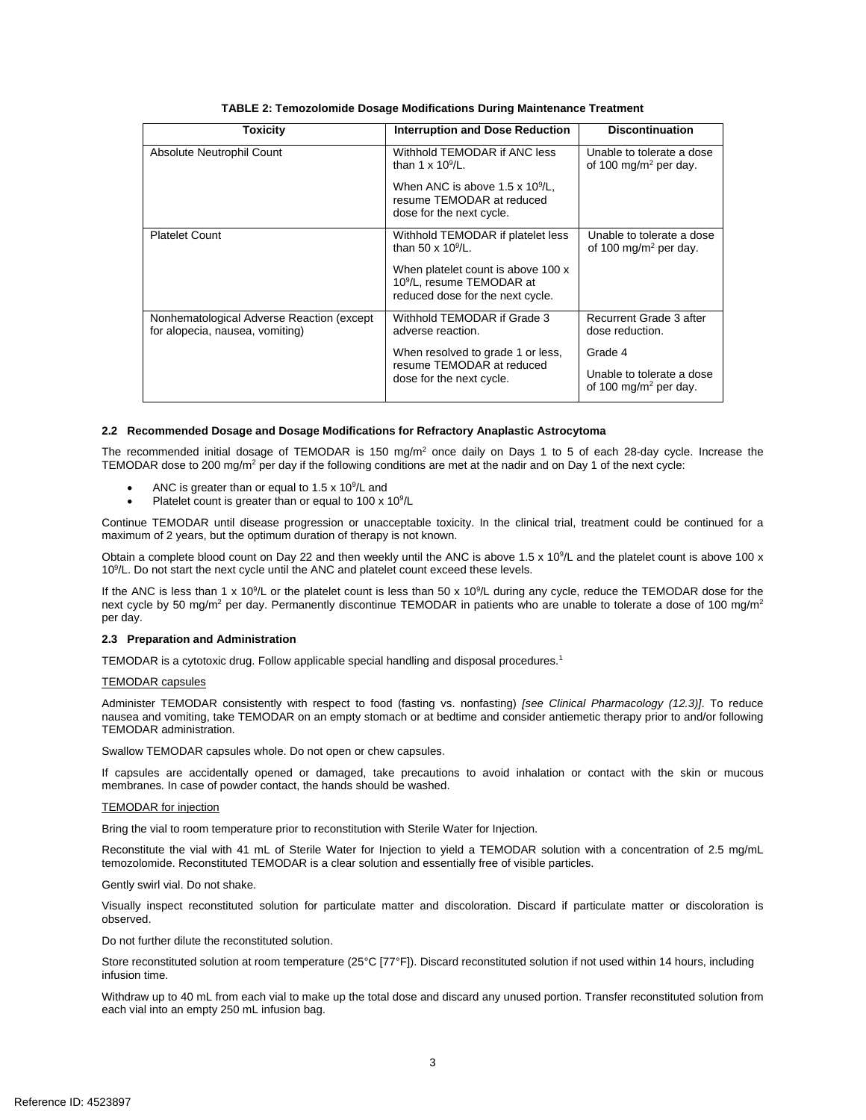| Toxicity                                                                     | <b>Interruption and Dose Reduction</b>                                                                          | <b>Discontinuation</b>                                         |
|------------------------------------------------------------------------------|-----------------------------------------------------------------------------------------------------------------|----------------------------------------------------------------|
| Absolute Neutrophil Count                                                    | Withhold TEMODAR if ANC less<br>than 1 x $10^9$ /L.                                                             | Unable to tolerate a dose<br>of 100 mg/m <sup>2</sup> per day. |
|                                                                              | When ANC is above $1.5 \times 10^9$ /L,<br>resume TEMODAR at reduced<br>dose for the next cycle.                |                                                                |
| <b>Platelet Count</b>                                                        | Withhold TEMODAR if platelet less<br>than 50 x $10^9$ /L.                                                       | Unable to tolerate a dose<br>of 100 mg/m <sup>2</sup> per day. |
|                                                                              | When platelet count is above 100 x<br>10 <sup>9</sup> /L, resume TEMODAR at<br>reduced dose for the next cycle. |                                                                |
| Nonhematological Adverse Reaction (except<br>for alopecia, nausea, vomiting) | Withhold TEMODAR if Grade 3<br>adverse reaction.                                                                | Recurrent Grade 3 after<br>dose reduction.                     |
|                                                                              | When resolved to grade 1 or less,                                                                               | Grade 4                                                        |
|                                                                              | resume TEMODAR at reduced<br>dose for the next cycle.                                                           | Unable to tolerate a dose<br>of 100 mg/m <sup>2</sup> per day. |

## **2.2 Recommended Dosage and Dosage Modifications for Refractory Anaplastic Astrocytoma**

The recommended initial dosage of TEMODAR is 150 mg/m<sup>2</sup> once daily on Days 1 to 5 of each 28-day cycle. Increase the TEMODAR dose to 200 mg/m<sup>2</sup> per day if the following conditions are met at the nadir and on Day 1 of the next cycle:

- ANC is greater than or equal to  $1.5 \times 10^9$ /L and
- Platelet count is greater than or equal to 100 x  $10^9$ /L

Continue TEMODAR until disease progression or unacceptable toxicity. In the clinical trial, treatment could be continued for a maximum of 2 years, but the optimum duration of therapy is not known.

Obtain a complete blood count on Day 22 and then weekly until the ANC is above 1.5 x 10<sup>9</sup>/L and the platelet count is above 100 x 10<sup>9</sup>/L. Do not start the next cycle until the ANC and platelet count exceed these levels.

If the ANC is less than 1 x 10<sup>9</sup>/L or the platelet count is less than 50 x 10<sup>9</sup>/L during any cycle, reduce the TEMODAR dose for the next cycle by 50 mg/m<sup>2</sup> per day. Permanently discontinue TEMODAR in patients who are unable to tolerate a dose of 100 mg/m<sup>2</sup> per day.

## **2.3 Preparation and Administration**

TEMODAR is a cytotoxic drug. Follow applicable special handling and disposal procedures.1

#### TEMODAR capsules

 Administer TEMODAR consistently with respect to food (fasting vs. nonfasting) *[see Clinical Pharmacology (12.3)]*. To reduce TEMODAR administration. nausea and vomiting, take TEMODAR on an empty stomach or at bedtime and consider antiemetic therapy prior to and/or following

Swallow TEMODAR capsules whole. Do not open or chew capsules.

If capsules are accidentally opened or damaged, take precautions to avoid inhalation or contact with the skin or mucous membranes*.* In case of powder contact, the hands should be washed.

## TEMODAR for injection

Bring the vial to room temperature prior to reconstitution with Sterile Water for Injection.

 Reconstitute the vial with 41 mL of Sterile Water for Injection to yield a TEMODAR solution with a concentration of 2.5 mg/mL temozolomide. Reconstituted TEMODAR is a clear solution and essentially free of visible particles.

Gently swirl vial. Do not shake.

Visually inspect reconstituted solution for particulate matter and discoloration. Discard if particulate matter or discoloration is observed.

Do not further dilute the reconstituted solution.

 infusion time. Store reconstituted solution at room temperature (25°C [77°F]). Discard reconstituted solution if not used within 14 hours, including

 Withdraw up to 40 mL from each vial to make up the total dose and discard any unused portion. Transfer reconstituted solution from each vial into an empty 250 mL infusion bag.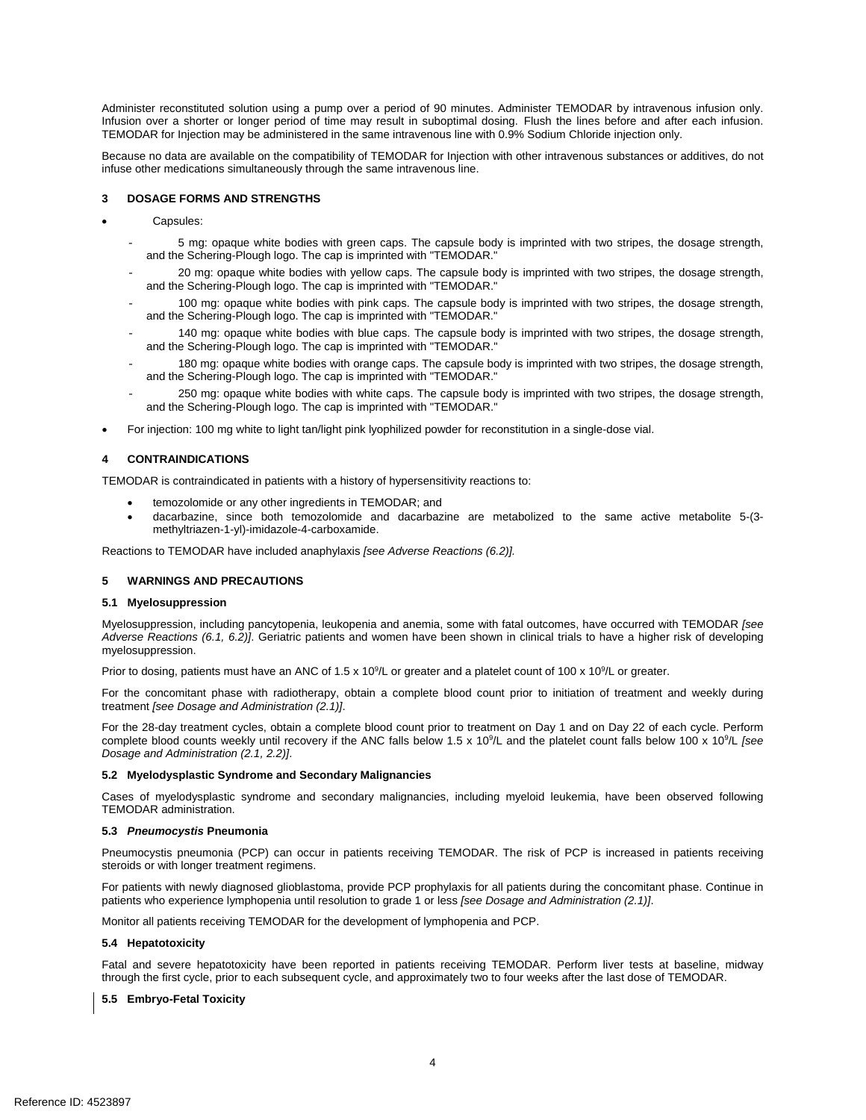Administer reconstituted solution using a pump over a period of 90 minutes. Administer TEMODAR by intravenous infusion only. Infusion over a shorter or longer period of time may result in suboptimal dosing. Flush the lines before and after each infusion. TEMODAR for Injection may be administered in the same intravenous line with 0.9% Sodium Chloride injection only.

Because no data are available on the compatibility of TEMODAR for Injection with other intravenous substances or additives, do not infuse other medications simultaneously through the same intravenous line.

## **3 DOSAGE FORMS AND STRENGTHS**

- • Capsules:
	- 5 mg: opaque white bodies with green caps. The capsule body is imprinted with two stripes, the dosage strength, and the Schering-Plough logo. The cap is imprinted with "TEMODAR."
	- 20 mg: opaque white bodies with yellow caps. The capsule body is imprinted with two stripes, the dosage strength, and the Schering-Plough logo. The cap is imprinted with "TEMODAR."
	- - 100 mg: opaque white bodies with pink caps. The capsule body is imprinted with two stripes, the dosage strength, and the Schering-Plough logo. The cap is imprinted with "TEMODAR."
	- 140 mg: opaque white bodies with blue caps. The capsule body is imprinted with two stripes, the dosage strength, and the Schering-Plough logo. The cap is imprinted with "TEMODAR."
	- 180 mg: opaque white bodies with orange caps. The capsule body is imprinted with two stripes, the dosage strength, and the Schering-Plough logo. The cap is imprinted with "TEMODAR."
	- - 250 mg: opaque white bodies with white caps. The capsule body is imprinted with two stripes, the dosage strength, and the Schering-Plough logo. The cap is imprinted with "TEMODAR."
- • For injection: 100 mg white to light tan/light pink lyophilized powder for reconstitution in a single-dose vial.

## **4 CONTRAINDICATIONS**

TEMODAR is contraindicated in patients with a history of hypersensitivity reactions to:

- • temozolomide or any other ingredients in TEMODAR; and
- dacarbazine, since both temozolomide and dacarbazine are metabolized to the same active metabolite 5-(3methyltriazen-1-yl)-imidazole-4-carboxamide.

Reactions to TEMODAR have included anaphylaxis *[see Adverse Reactions (6.2)].* 

## **5 WARNINGS AND PRECAUTIONS**

#### **5.1 Myelosuppression**

 *Adverse Reactions (6.1, 6.2)]*. Geriatric patients and women have been shown in clinical trials to have a higher risk of developing Myelosuppression, including pancytopenia, leukopenia and anemia, some with fatal outcomes, have occurred with TEMODAR *[see* 

myelosuppression.<br>Prior to dosing, patients must have an ANC of 1.5 x 10<sup>9</sup>/L or greater and a platelet count of 100 x 10<sup>9</sup>/L or greater.

 For the concomitant phase with radiotherapy, obtain a complete blood count prior to initiation of treatment and weekly during treatment [see Dosage and Administration (2.1)].

treatment *[see Dosage and Administration (2.1)].*<br>For the 28-day treatment cycles, obtain a complete blood count prior to treatment on Day 1 and on Day 22 of each cycle. Perform complete blood counts weekly until recovery if the ANC falls below 1.5 x 10<sup>9</sup>/L and the platelet count falls below 100 x 10<sup>9</sup>/L [see *Dosage and Administration (2.1, 2.2)]*.

## **5.2 Myelodysplastic Syndrome and Secondary Malignancies**

 Cases of myelodysplastic syndrome and secondary malignancies, including myeloid leukemia, have been observed following TEMODAR administration.

#### **5.3** *Pneumocystis* **Pneumonia**

 Pneumocystis pneumonia (PCP) can occur in patients receiving TEMODAR. The risk of PCP is increased in patients receiving steroids or with longer treatment regimens.

 For patients with newly diagnosed glioblastoma, provide PCP prophylaxis for all patients during the concomitant phase. Continue in patients who experience lymphopenia until resolution to grade 1 or less *[see Dosage and Administration (2.1)]*.

Monitor all patients receiving TEMODAR for the development of lymphopenia and PCP.

#### **5.4 Hepatotoxicity**

 Fatal and severe hepatotoxicity have been reported in patients receiving TEMODAR. Perform liver tests at baseline, midway through the first cycle, prior to each subsequent cycle, and approximately two to four weeks after the last dose of TEMODAR.

## **5.5 Embryo-Fetal Toxicity**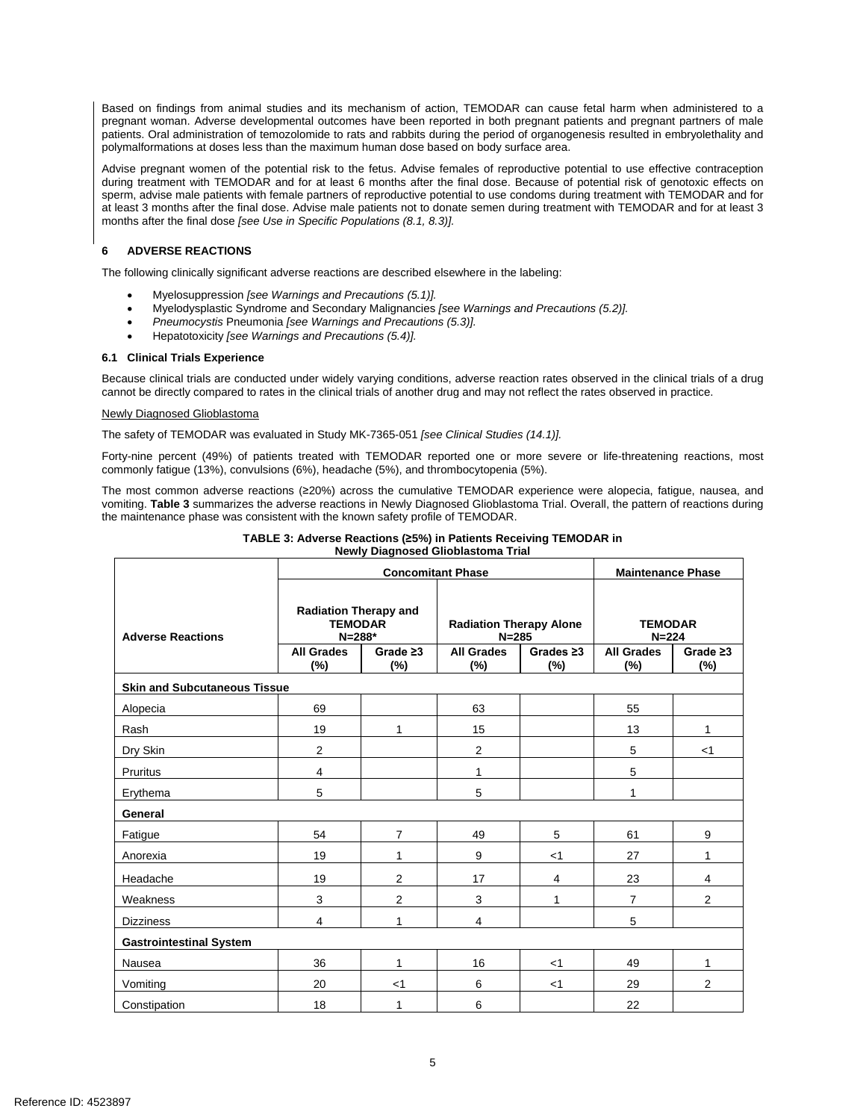Based on findings from animal studies and its mechanism of action, TEMODAR can cause fetal harm when administered to a pregnant woman. Adverse developmental outcomes have been reported in both pregnant patients and pregnant partners of male patients. Oral administration of temozolomide to rats and rabbits during the period of organogenesis resulted in embryolethality and polymalformations at doses less than the maximum human dose based on body surface area.

 during treatment with TEMODAR and for at least 6 months after the final dose. Because of potential risk of genotoxic effects on sperm, advise male patients with female partners of reproductive potential to use condoms during treatment with TEMODAR and for at least 3 months after the final dose. Advise male patients not to donate semen during treatment with TEMODAR and for at least 3 months after the final dose *[see Use in Specific Populations (8.1, 8.3)].*  Advise pregnant women of the potential risk to the fetus. Advise females of reproductive potential to use effective contraception

## **6 ADVERSE REACTIONS**

The following clinically significant adverse reactions are described elsewhere in the labeling:

- Myelosuppression *[see Warnings and Precautions (5.1)].*
- Myelodysplastic Syndrome and Secondary Malignancies *[see Warnings and Precautions (5.2)].*
- *Pneumocystis* Pneumonia *[see Warnings and Precautions (5.3)].*
- Hepatotoxicity *[see Warnings and Precautions (5.4)].*

## **6.1 Clinical Trials Experience**

Because clinical trials are conducted under widely varying conditions, adverse reaction rates observed in the clinical trials of a drug cannot be directly compared to rates in the clinical trials of another drug and may not reflect the rates observed in practice.

## Newly Diagnosed Glioblastoma

The safety of TEMODAR was evaluated in Study MK-7365-051 *[see Clinical Studies (14.1)].* 

 Forty-nine percent (49%) of patients treated with TEMODAR reported one or more severe or life-threatening reactions, most commonly fatigue (13%), convulsions (6%), headache (5%), and thrombocytopenia (5%).

 The most common adverse reactions (≥20%) across the cumulative TEMODAR experience were alopecia, fatigue, nausea, and vomiting. **Table 3** summarizes the adverse reactions in Newly Diagnosed Glioblastoma Trial. Overall, the pattern of reactions during the maintenance phase was consistent with the known safety profile of TEMODAR.

| <b>Newly Diagnosed Gilopiastoma Trial</b> |                                                                                   |                |                                                                  |                          |                                                  |                |
|-------------------------------------------|-----------------------------------------------------------------------------------|----------------|------------------------------------------------------------------|--------------------------|--------------------------------------------------|----------------|
|                                           | <b>Concomitant Phase</b>                                                          |                |                                                                  | <b>Maintenance Phase</b> |                                                  |                |
| <b>Adverse Reactions</b>                  | <b>Radiation Therapy and</b><br><b>TEMODAR</b><br>$N = 288*$<br><b>All Grades</b> | Grade $\geq 3$ | <b>Radiation Therapy Alone</b><br>$N = 285$<br><b>All Grades</b> | Grades $\geq 3$          | <b>TEMODAR</b><br>$N = 224$<br><b>All Grades</b> | Grade $\geq 3$ |
|                                           | $(\%)$                                                                            | (%)            | $(\%)$                                                           | $(\%)$                   | (%)                                              | $(\%)$         |
| <b>Skin and Subcutaneous Tissue</b>       |                                                                                   |                |                                                                  |                          |                                                  |                |
| Alopecia                                  | 69                                                                                |                | 63                                                               |                          | 55                                               |                |
| Rash                                      | 19                                                                                | 1              | 15                                                               |                          | 13                                               | 1              |
| Dry Skin                                  | 2                                                                                 |                | $\overline{2}$                                                   |                          | 5                                                | $<$ 1          |
| Pruritus                                  | 4                                                                                 |                | 1                                                                |                          | 5                                                |                |
| Erythema                                  | 5                                                                                 |                | 5                                                                |                          | 1                                                |                |
| General                                   |                                                                                   |                |                                                                  |                          |                                                  |                |
| Fatigue                                   | 54                                                                                | 7              | 49                                                               | 5                        | 61                                               | 9              |
| Anorexia                                  | 19                                                                                | 1              | 9                                                                | $<$ 1                    | 27                                               | 1              |
| Headache                                  | 19                                                                                | $\overline{2}$ | 17                                                               | 4                        | 23                                               | 4              |
| Weakness                                  | 3                                                                                 | $\overline{2}$ | 3                                                                | 1                        | $\overline{7}$                                   | 2              |
| <b>Dizziness</b>                          | $\overline{4}$                                                                    | 1              | 4                                                                |                          | 5                                                |                |
| <b>Gastrointestinal System</b>            |                                                                                   |                |                                                                  |                          |                                                  |                |
| Nausea                                    | 36                                                                                | 1              | 16                                                               | $<$ 1                    | 49                                               | 1              |
| Vomiting                                  | 20                                                                                | $<$ 1          | 6                                                                | $<$ 1                    | 29                                               | 2              |
| Constipation                              | 18                                                                                | 1              | 6                                                                |                          | 22                                               |                |

 **TABLE 3: Adverse Reactions (≥5%) in Patients Receiving TEMODAR in Newly Diagnosed Glioblastoma Trial**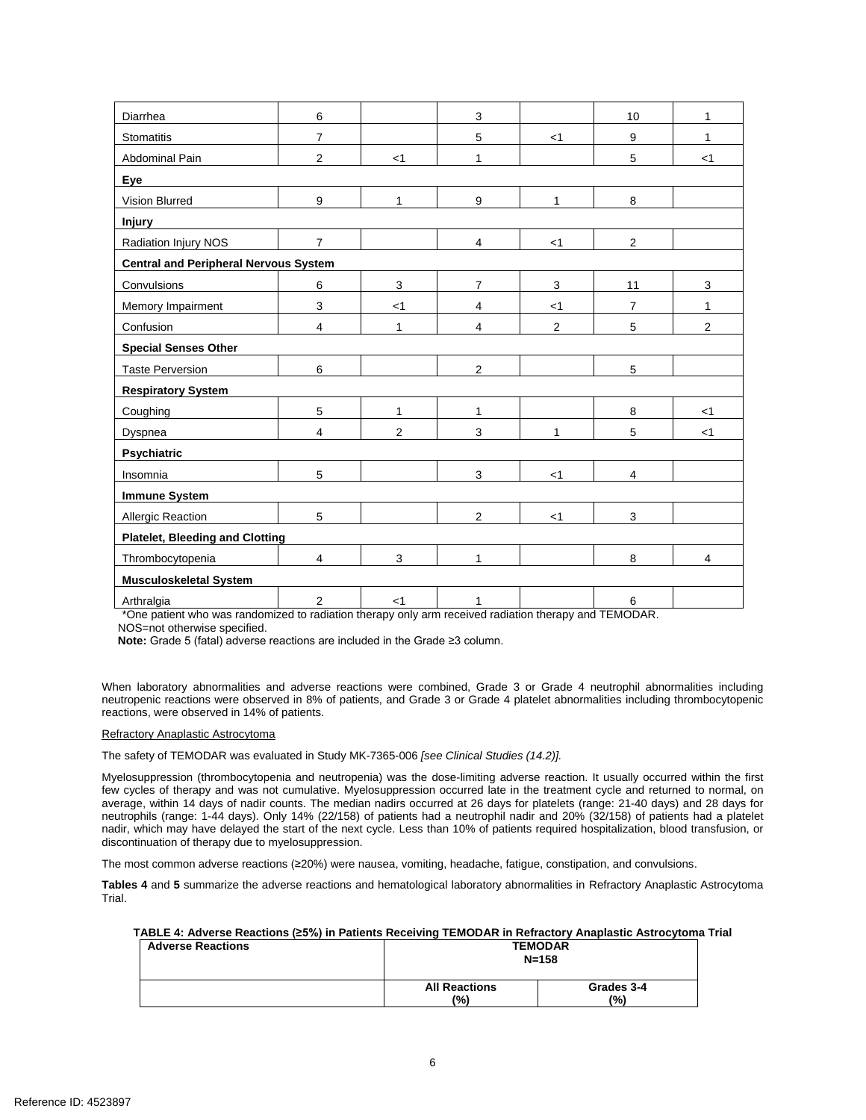| Diarrhea                                     | 6                |                | $\mathsf 3$    |       | 10             | 1     |
|----------------------------------------------|------------------|----------------|----------------|-------|----------------|-------|
| Stomatitis                                   | $\overline{7}$   |                | 5              | $<$ 1 | 9              | 1     |
| Abdominal Pain                               | $\overline{2}$   | $<$ 1          | 1              |       | 5              | $<$ 1 |
| Eye                                          |                  |                |                |       |                |       |
| Vision Blurred                               | $\boldsymbol{9}$ | 1              | 9              | 1     | 8              |       |
| <b>Injury</b>                                |                  |                |                |       |                |       |
| Radiation Injury NOS                         | $\overline{7}$   |                | $\overline{4}$ | $<$ 1 | $\overline{2}$ |       |
| <b>Central and Peripheral Nervous System</b> |                  |                |                |       |                |       |
| Convulsions                                  | 6                | 3              | $\overline{7}$ | 3     | 11             | 3     |
|                                              |                  |                |                |       |                |       |
| Memory Impairment                            | 3                | $<$ 1          | 4              | $<$ 1 | 7              | 1     |
| Confusion                                    | $\overline{4}$   | 1              | $\overline{4}$ | 2     | 5              | 2     |
| <b>Special Senses Other</b>                  |                  |                |                |       |                |       |
| <b>Taste Perversion</b>                      | 6                |                | $\overline{2}$ |       | 5              |       |
| <b>Respiratory System</b>                    |                  |                |                |       |                |       |
| Coughing                                     | 5                | 1              | 1              |       | 8              | $<$ 1 |
| Dyspnea                                      | 4                | $\overline{2}$ | 3              | 1     | 5              | $<$ 1 |
| Psychiatric                                  |                  |                |                |       |                |       |
| Insomnia                                     | 5                |                | 3              | $<$ 1 | 4              |       |
| <b>Immune System</b>                         |                  |                |                |       |                |       |
| Allergic Reaction                            | 5                |                | $\overline{2}$ | $<$ 1 | 3              |       |
| <b>Platelet, Bleeding and Clotting</b>       |                  |                |                |       |                |       |
| Thrombocytopenia                             | 4                | 3              | 1              |       | 8              | 4     |
| <b>Musculoskeletal System</b>                |                  |                |                |       |                |       |
| Arthralgia                                   | $\overline{2}$   | $<$ 1          | 1              |       | 6              |       |

\*One patient who was randomized to radiation therapy only arm received radiation therapy and TEMODAR.

NOS=not otherwise specified.

**Note:** Grade 5 (fatal) adverse reactions are included in the Grade ≥3 column.

 reactions, were observed in 14% of patients. When laboratory abnormalities and adverse reactions were combined, Grade 3 or Grade 4 neutrophil abnormalities including neutropenic reactions were observed in 8% of patients, and Grade 3 or Grade 4 platelet abnormalities including thrombocytopenic

#### Refractory Anaplastic Astrocytoma

The safety of TEMODAR was evaluated in Study MK-7365-006 *[see Clinical Studies (14.2)].* 

 Myelosuppression (thrombocytopenia and neutropenia) was the dose-limiting adverse reaction. It usually occurred within the first average, within 14 days of nadir counts. The median nadirs occurred at 26 days for platelets (range: 21-40 days) and 28 days for neutrophils (range: 1-44 days). Only 14% (22/158) of patients had a neutrophil nadir and 20% (32/158) of patients had a platelet nadir, which may have delayed the start of the next cycle. Less than 10% of patients required hospitalization, blood transfusion, or few cycles of therapy and was not cumulative. Myelosuppression occurred late in the treatment cycle and returned to normal, on discontinuation of therapy due to myelosuppression.

The most common adverse reactions (≥20%) were nausea, vomiting, headache, fatigue, constipation, and convulsions.

 **Tables 4** and **5** summarize the adverse reactions and hematological laboratory abnormalities in Refractory Anaplastic Astrocytoma Trial.

| TABLE 4: Adverse Reactions (≥5%) in Patients Receiving TEMODAR in Refractory Anaplastic Astrocytoma Trial |  |
|-----------------------------------------------------------------------------------------------------------|--|
| --------                                                                                                  |  |

| <b>Adverse Reactions</b> | <b>TEMODAR</b><br>$N = 158$ |                   |  |
|--------------------------|-----------------------------|-------------------|--|
|                          | <b>All Reactions</b><br>(%) | Grades 3-4<br>(%) |  |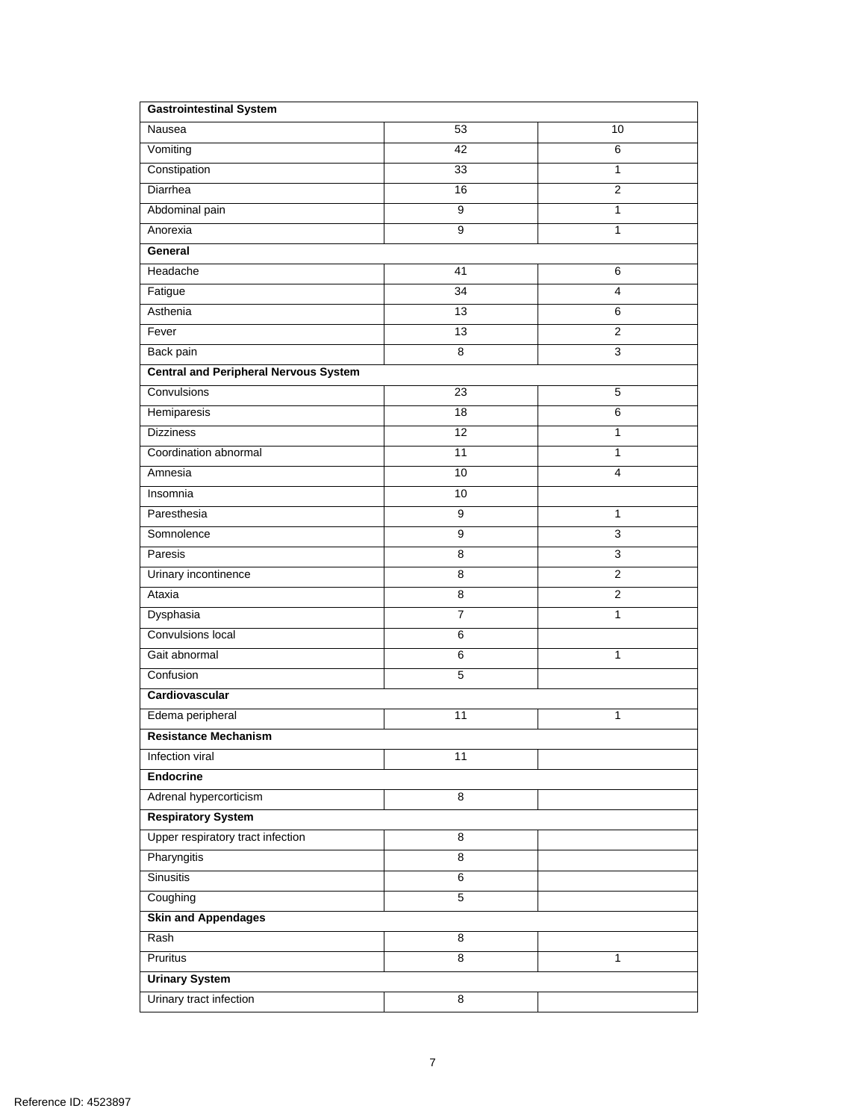| <b>Gastrointestinal System</b>               |                 |                         |  |  |  |
|----------------------------------------------|-----------------|-------------------------|--|--|--|
| Nausea                                       | 53              | 10                      |  |  |  |
| Vomiting                                     | 42              | 6                       |  |  |  |
| Constipation                                 | 33              | 1                       |  |  |  |
| Diarrhea                                     | 16              | $\overline{c}$          |  |  |  |
| Abdominal pain                               | 9               | 1                       |  |  |  |
| Anorexia                                     | 9               | 1                       |  |  |  |
| General                                      |                 |                         |  |  |  |
| Headache                                     | 41              | 6                       |  |  |  |
| Fatigue                                      | $\overline{34}$ | $\overline{\mathbf{4}}$ |  |  |  |
| Asthenia                                     | 13              | 6                       |  |  |  |
| Fever                                        | 13              | $\overline{2}$          |  |  |  |
| Back pain                                    | 8               | $\mathsf 3$             |  |  |  |
| <b>Central and Peripheral Nervous System</b> |                 |                         |  |  |  |
| Convulsions                                  | 23              | 5                       |  |  |  |
| Hemiparesis                                  | 18              | 6                       |  |  |  |
| <b>Dizziness</b>                             | 12              | 1                       |  |  |  |
| Coordination abnormal                        | 11              | 1                       |  |  |  |
| Amnesia                                      | 10              | $\overline{4}$          |  |  |  |
| Insomnia                                     | 10              |                         |  |  |  |
| Paresthesia                                  | 9               | $\mathbf{1}$            |  |  |  |
| Somnolence                                   | 9               | 3                       |  |  |  |
| Paresis                                      | 8               | 3                       |  |  |  |
| Urinary incontinence                         | 8               | $\overline{2}$          |  |  |  |
| Ataxia                                       | 8               | $\overline{2}$          |  |  |  |
| Dysphasia                                    | $\overline{7}$  | 1                       |  |  |  |
| Convulsions local                            | 6               |                         |  |  |  |
| Gait abnormal                                | 6               | 1                       |  |  |  |
| Confusion                                    | 5               |                         |  |  |  |
| Cardiovascular                               |                 |                         |  |  |  |
| Edema peripheral                             | 11              | 1                       |  |  |  |
| <b>Resistance Mechanism</b>                  |                 |                         |  |  |  |
| Infection viral                              | 11              |                         |  |  |  |
| <b>Endocrine</b>                             |                 |                         |  |  |  |
| Adrenal hypercorticism                       | 8               |                         |  |  |  |
| <b>Respiratory System</b>                    |                 |                         |  |  |  |
| Upper respiratory tract infection            | 8               |                         |  |  |  |
| <b>Pharyngitis</b>                           | $\overline{8}$  |                         |  |  |  |
| <b>Sinusitis</b>                             | $6\overline{6}$ |                         |  |  |  |
| Coughing                                     | $\overline{5}$  |                         |  |  |  |
| <b>Skin and Appendages</b>                   |                 |                         |  |  |  |
| Rash                                         | 8               |                         |  |  |  |
| Pruritus                                     | $\overline{8}$  | 1                       |  |  |  |
| <b>Urinary System</b>                        |                 |                         |  |  |  |
| Urinary tract infection                      | 8               |                         |  |  |  |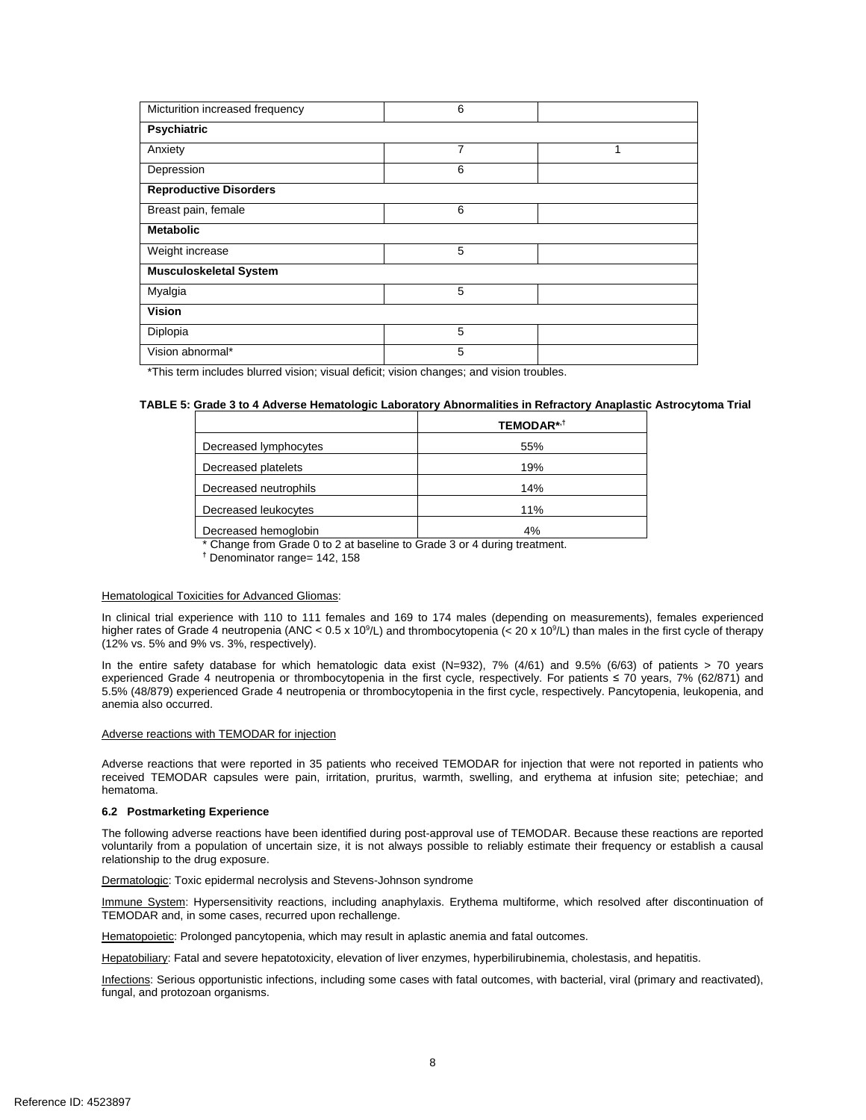| Micturition increased frequency | 6 |   |  |  |  |
|---------------------------------|---|---|--|--|--|
| <b>Psychiatric</b>              |   |   |  |  |  |
| Anxiety                         | 7 | 1 |  |  |  |
| Depression                      | 6 |   |  |  |  |
| <b>Reproductive Disorders</b>   |   |   |  |  |  |
| Breast pain, female             | 6 |   |  |  |  |
| <b>Metabolic</b>                |   |   |  |  |  |
| Weight increase                 | 5 |   |  |  |  |
| <b>Musculoskeletal System</b>   |   |   |  |  |  |
| Myalgia                         | 5 |   |  |  |  |
| <b>Vision</b>                   |   |   |  |  |  |
| Diplopia                        | 5 |   |  |  |  |
| Vision abnormal*                | 5 |   |  |  |  |

\*This term includes blurred vision; visual deficit; vision changes; and vision troubles.

## **TABLE 5: Grade 3 to 4 Adverse Hematologic Laboratory Abnormalities in Refractory Anaplastic Astrocytoma Trial**

|                       | <b>TEMODAR*1</b> |
|-----------------------|------------------|
| Decreased lymphocytes | 55%              |
| Decreased platelets   | 19%              |
| Decreased neutrophils | 14%              |
| Decreased leukocytes  | 11%              |
| Decreased hemoglobin  | 4%               |

\* Change from Grade 0 to 2 at baseline to Grade 3 or 4 during treatment.

**†** Denominator range= 142, 158

#### Hematological Toxicities for Advanced Gliomas:

higher rates of Grade 4 neutropenia (ANC < 0.5 x 10<sup>9</sup>/L) and thrombocytopenia (< 20 x 10<sup>9</sup>/L) than males in the first cycle of therapy (12% vs. 5% and 9% vs. 3%, respectively). In clinical trial experience with 110 to 111 females and 169 to 174 males (depending on measurements), females experienced

(12% vs. 5% and 9% vs. 3%, respectively).<br>In the entire safety database for which hematologic data exist (N=932), 7% (4/61) and 9.5% (6/63) of patients > 70 years experienced Grade 4 neutropenia or thrombocytopenia in the first cycle, respectively. For patients ≤ 70 years, 7% (62/871) and 5.5% (48/879) experienced Grade 4 neutropenia or thrombocytopenia in the first cycle, respectively. Pancytopenia, leukopenia, and anemia also occurred.

#### Adverse reactions with TEMODAR for injection

 Adverse reactions that were reported in 35 patients who received TEMODAR for injection that were not reported in patients who received TEMODAR capsules were pain, irritation, pruritus, warmth, swelling, and erythema at infusion site; petechiae; and hematoma.

## **6.2 Postmarketing Experience**

 voluntarily from a population of uncertain size, it is not always possible to reliably estimate their frequency or establish a causal The following adverse reactions have been identified during post-approval use of TEMODAR. Because these reactions are reported relationship to the drug exposure.

Dermatologic: Toxic epidermal necrolysis and Stevens-Johnson syndrome

Immune System: Hypersensitivity reactions, including anaphylaxis. Erythema multiforme, which resolved after discontinuation of TEMODAR and, in some cases, recurred upon rechallenge.

Hematopoietic: Prolonged pancytopenia, which may result in aplastic anemia and fatal outcomes.

Hepatobiliary: Fatal and severe hepatotoxicity, elevation of liver enzymes, hyperbilirubinemia, cholestasis, and hepatitis.

Infections: Serious opportunistic infections, including some cases with fatal outcomes, with bacterial, viral (primary and reactivated), fungal, and protozoan organisms.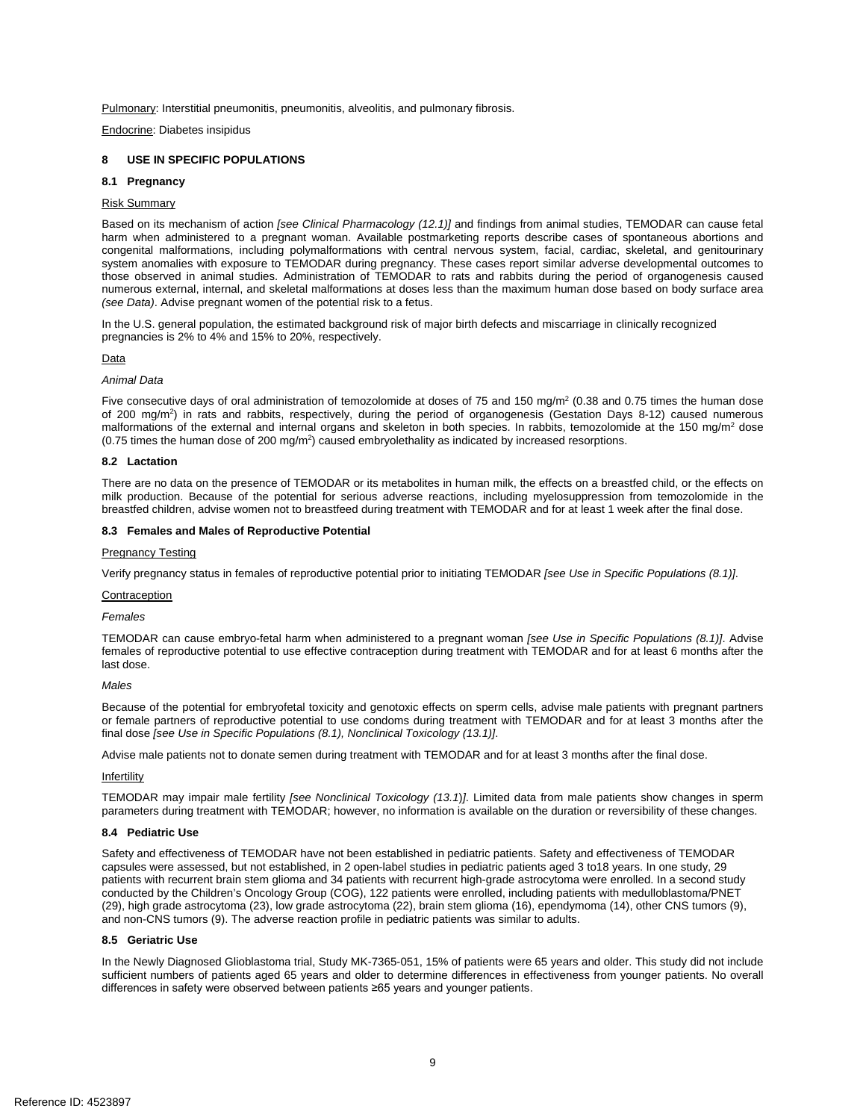Pulmonary: Interstitial pneumonitis, pneumonitis, alveolitis, and pulmonary fibrosis.

Endocrine: Diabetes insipidus

## **8 USE IN SPECIFIC POPULATIONS**

#### **8.1 Pregnancy**

#### Risk Summary

 Based on its mechanism of action *[see Clinical Pharmacology (12.1)]* and findings from animal studies, TEMODAR can cause fetal congenital malformations, including polymalformations with central nervous system, facial, cardiac, skeletal, and genitourinary system anomalies with exposure to TEMODAR during pregnancy. These cases report similar adverse developmental outcomes to those observed in animal studies. Administration of TEMODAR to rats and rabbits during the period of organogenesis caused numerous external, internal, and skeletal malformations at doses less than the maximum human dose based on body surface area *(see Data)*. Advise pregnant women of the potential risk to a fetus. harm when administered to a pregnant woman. Available postmarketing reports describe cases of spontaneous abortions and

In the U.S. general population, the estimated background risk of major birth defects and miscarriage in clinically recognized pregnancies is 2% to 4% and 15% to 20%, respectively.

## Data

#### *Animal Data*

malformations of the external and internal organs and skeleton in both species. In rabbits, temozolomide at the 150 mg/m<sup>2</sup> dose  $(0.75$  times the human dose of 200 mg/m<sup>2</sup>) caused embryolethality as indicated by increased resorptions. Five consecutive days of oral administration of temozolomide at doses of 75 and 150 mg/m<sup>2</sup> (0.38 and 0.75 times the human dose of 200 mg/m<sup>2</sup>) in rats and rabbits, respectively, during the period of organogenesis (Gestation Days 8-12) caused numerous

#### **8.2 Lactation**

 breastfed children, advise women not to breastfeed during treatment with TEMODAR and for at least 1 week after the final dose. There are no data on the presence of TEMODAR or its metabolites in human milk, the effects on a breastfed child, or the effects on milk production. Because of the potential for serious adverse reactions, including myelosuppression from temozolomide in the

#### **8.3 Females and Males of Reproductive Potential**

#### Pregnancy Testing

Verify pregnancy status in females of reproductive potential prior to initiating TEMODAR *[see Use in Specific Populations (8.1)]*.

#### Contraception

*Females* 

 TEMODAR can cause embryo-fetal harm when administered to a pregnant woman *[see Use in Specific Populations (8.1)]*. Advise females of reproductive potential to use effective contraception during treatment with TEMODAR and for at least 6 months after the last dose.

## *Males*

 Because of the potential for embryofetal toxicity and genotoxic effects on sperm cells, advise male patients with pregnant partners or female partners of reproductive potential to use condoms during treatment with TEMODAR and for at least 3 months after the final dose *[see Use in Specific Populations (8.1), Nonclinical Toxicology (13.1)]*.

Advise male patients not to donate semen during treatment with TEMODAR and for at least 3 months after the final dose.

#### Infertility

 TEMODAR may impair male fertility *[see Nonclinical Toxicology (13.1*)*]*. Limited data from male patients show changes in sperm parameters during treatment with TEMODAR; however, no information is available on the duration or reversibility of these changes.

#### **8.4 Pediatric Use**

 capsules were assessed, but not established, in 2 open-label studies in pediatric patients aged 3 to18 years. In one study, 29 and non-CNS tumors (9). The adverse reaction profile in pediatric patients was similar to adults. Safety and effectiveness of TEMODAR have not been established in pediatric patients. Safety and effectiveness of TEMODAR patients with recurrent brain stem glioma and 34 patients with recurrent high-grade astrocytoma were enrolled. In a second study conducted by the Children's Oncology Group (COG), 122 patients were enrolled, including patients with medulloblastoma/PNET (29), high grade astrocytoma (23), low grade astrocytoma (22), brain stem glioma (16), ependymoma (14), other CNS tumors (9),

#### **8.5 Geriatric Use**

 In the Newly Diagnosed Glioblastoma trial, Study MK-7365-051, 15% of patients were 65 years and older. This study did not include sufficient numbers of patients aged 65 years and older to determine differences in effectiveness from younger patients. No overall differences in safety were observed between patients ≥65 years and younger patients.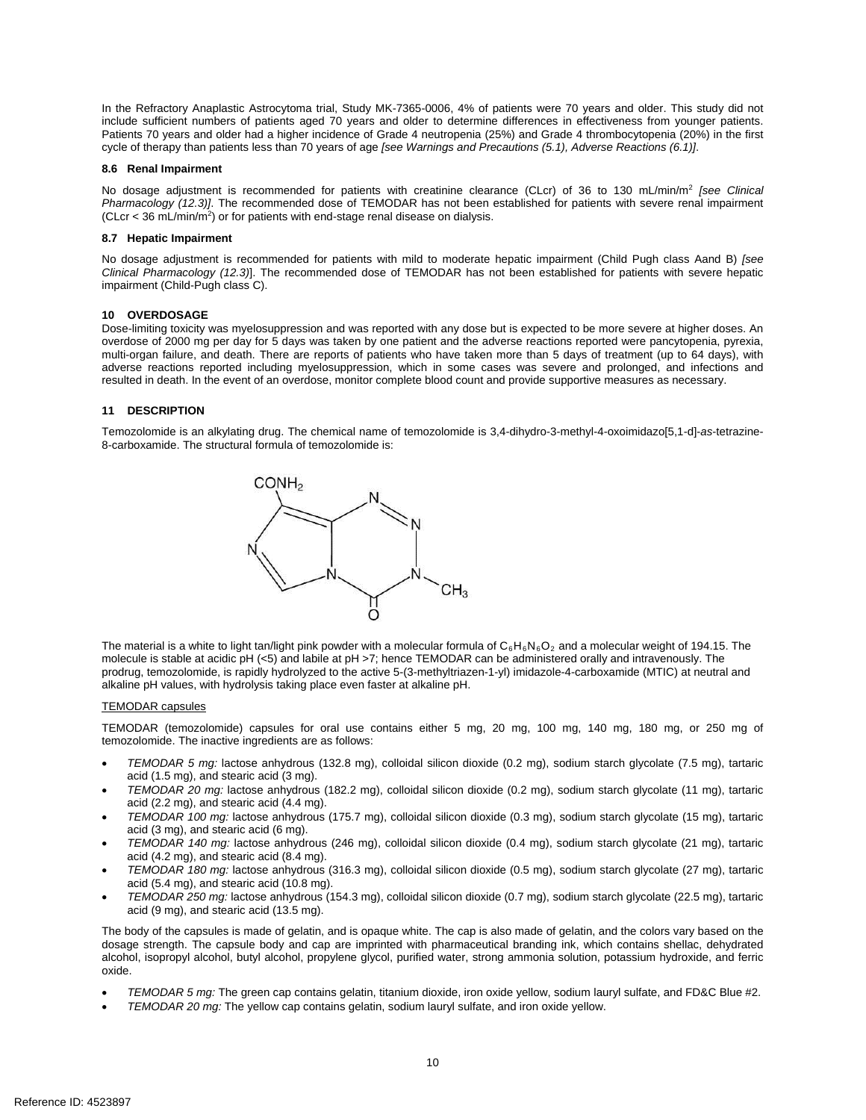In the Refractory Anaplastic Astrocytoma trial, Study MK-7365-0006, 4% of patients were 70 years and older. This study did not include sufficient numbers of patients aged 70 years and older to determine differences in effectiveness from younger patients. cycle of therapy than patients less than 70 years of age *[see Warnings and Precautions (5.1), Adverse Reactions (6.1)]*. Patients 70 years and older had a higher incidence of Grade 4 neutropenia (25%) and Grade 4 thrombocytopenia (20%) in the first

#### **8.6 Renal Impairment**

 No dosage adjustment is recommended for patients with creatinine clearance (CLcr) of 36 to 130 mL/min/m2 *[see Clinical Pharmacology (12.3)]*. The recommended dose of TEMODAR has not been established for patients with severe renal impairment  $(CLcr < 36 mL/min/m<sup>2</sup>)$  or for patients with end-stage renal disease on dialysis.

#### **8.7 Hepatic Impairment**

 No dosage adjustment is recommended for patients with mild to moderate hepatic impairment (Child Pugh class Aand B) *[see*  impairment (Child-Pugh class C). *Clinical Pharmacology (12.3)*]. The recommended dose of TEMODAR has not been established for patients with severe hepatic

## **10 OVERDOSAGE**

 Dose-limiting toxicity was myelosuppression and was reported with any dose but is expected to be more severe at higher doses. An overdose of 2000 mg per day for 5 days was taken by one patient and the adverse reactions reported were pancytopenia, pyrexia, multi-organ failure, and death. There are reports of patients who have taken more than 5 days of treatment (up to 64 days), with adverse reactions reported including myelosuppression, which in some cases was severe and prolonged, and infections and resulted in death. In the event of an overdose, monitor complete blood count and provide supportive measures as necessary.

## **11 DESCRIPTION**

 8-carboxamide. The structural formula of temozolomide is: Temozolomide is an alkylating drug. The chemical name of temozolomide is 3,4-dihydro-3-methyl-4-oxoimidazo[5,1-d]-*as*-tetrazine-



The material is a white to light tan/light pink powder with a molecular formula of  $C_6H_6N_6O_2$  and a molecular weight of 194.15. The molecule is stable at acidic pH (<5) and labile at pH >7; hence TEMODAR can be administered orally and intravenously. The prodrug, temozolomide, is rapidly hydrolyzed to the active 5-(3-methyltriazen-1-yl) imidazole-4-carboxamide (MTIC) at neutral and alkaline pH values, with hydrolysis taking place even faster at alkaline pH.

## TEMODAR capsules

 temozolomide. The inactive ingredients are as follows: TEMODAR (temozolomide) capsules for oral use contains either 5 mg, 20 mg, 100 mg, 140 mg, 180 mg, or 250 mg of

- • *TEMODAR 5 mg:* lactose anhydrous (132.8 mg), colloidal silicon dioxide (0.2 mg), sodium starch glycolate (7.5 mg), tartaric acid (1.5 mg), and stearic acid (3 mg).
- • *TEMODAR 20 mg:* lactose anhydrous (182.2 mg), colloidal silicon dioxide (0.2 mg), sodium starch glycolate (11 mg), tartaric acid (2.2 mg), and stearic acid (4.4 mg).
- acid (3 mg), and stearic acid (6 mg). • *TEMODAR 100 mg:* lactose anhydrous (175.7 mg), colloidal silicon dioxide (0.3 mg), sodium starch glycolate (15 mg), tartaric
- *TEMODAR 140 mg: lactose anhydrous (246 mg), colloidal silicon dioxide (0.4 mg), sodium starch glycolate (21 mg), tartaric* acid (4.2 mg), and stearic acid (8.4 mg).
- • *TEMODAR 180 mg:* lactose anhydrous (316.3 mg), colloidal silicon dioxide (0.5 mg), sodium starch glycolate (27 mg), tartaric acid (5.4 mg), and stearic acid (10.8 mg).
- • *TEMODAR 250 mg:* lactose anhydrous (154.3 mg), colloidal silicon dioxide (0.7 mg), sodium starch glycolate (22.5 mg), tartaric acid (9 mg), and stearic acid (13.5 mg).

The body of the capsules is made of gelatin, and is opaque white. The cap is also made of gelatin, and the colors vary based on the dosage strength. The capsule body and cap are imprinted with pharmaceutical branding ink, which contains shellac, dehydrated alcohol, isopropyl alcohol, butyl alcohol, propylene glycol, purified water, strong ammonia solution, potassium hydroxide, and ferric oxide.

- • *TEMODAR 5 mg:* The green cap contains gelatin, titanium dioxide, iron oxide yellow, sodium lauryl sulfate, and FD&C Blue #2.
- • *TEMODAR 20 mg:* The yellow cap contains gelatin, sodium lauryl sulfate, and iron oxide yellow.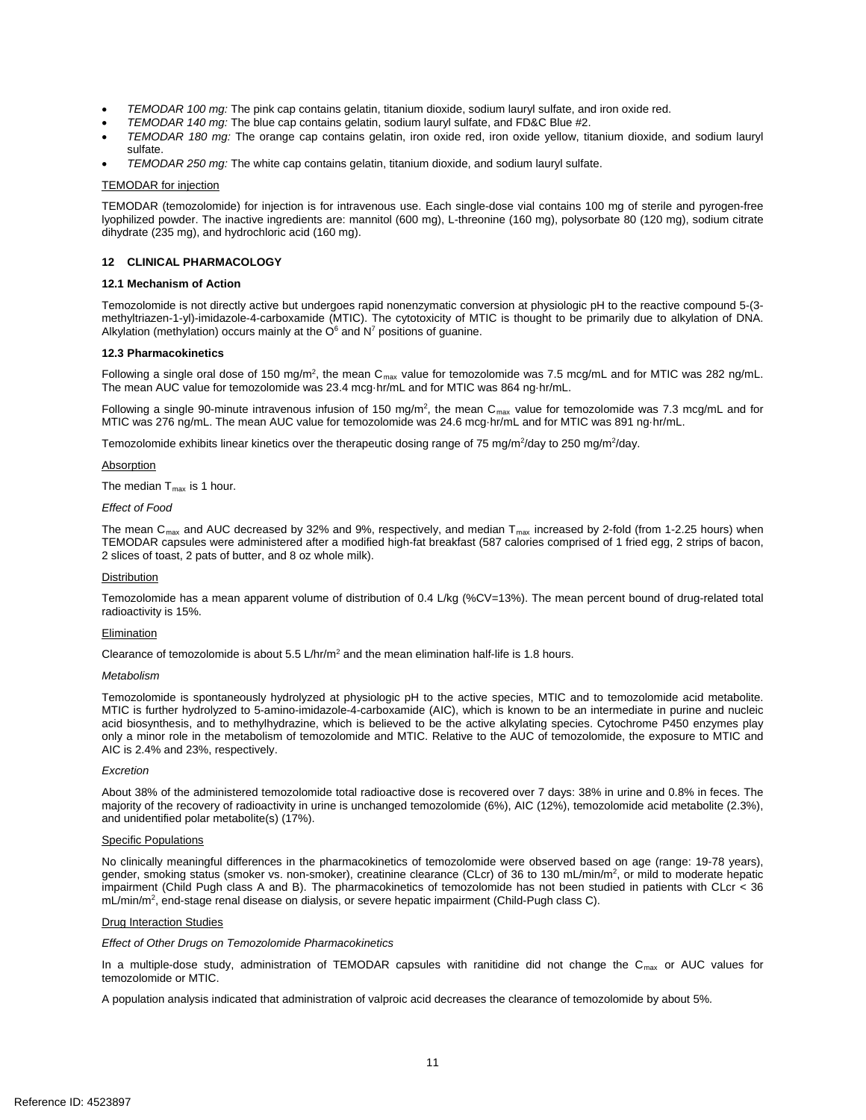- TEMODAR 100 mg: The pink cap contains gelatin, titanium dioxide, sodium lauryl sulfate, and iron oxide red.
- • *TEMODAR 140 mg:* The blue cap contains gelatin, sodium lauryl sulfate, and FD&C Blue #2.
- • *TEMODAR 180 mg:* The orange cap contains gelatin, iron oxide red, iron oxide yellow, titanium dioxide, and sodium lauryl sulfate.
- TEMODAR 250 mg: The white cap contains gelatin, titanium dioxide, and sodium lauryl sulfate.

#### **TEMODAR** for injection

<u>TEMODAR for injection</u><br>TEMODAR (temozolomide) for injection is for intravenous use. Each single-dose vial contains 100 mg of sterile and pyrogen-free lyophilized powder. The inactive ingredients are: mannitol (600 mg), L-threonine (160 mg), polysorbate 80 (120 mg), sodium citrate dihydrate (235 mg), and hydrochloric acid (160 mg).

#### **12 CLINICAL PHARMACOLOGY**

#### **12.1 Mechanism of Action**

Alkylation (methylation) occurs mainly at the  $O<sup>6</sup>$  and  $N<sup>7</sup>$  positions of guanine. Temozolomide is not directly active but undergoes rapid nonenzymatic conversion at physiologic pH to the reactive compound 5-(3 methyltriazen-1-yl)-imidazole-4-carboxamide (MTIC). The cytotoxicity of MTIC is thought to be primarily due to alkylation of DNA.

#### **12.3 Pharmacokinetics**

Following a single oral dose of 150 mg/m<sup>2</sup>, the mean C<sub>max</sub> value for temozolomide was 7.5 mcg/mL and for MTIC was 282 ng/mL. The mean AUC value for temozolomide was 23.4 mcg·hr/mL and for MTIC was 864 ng·hr/mL.

Following a single 90-minute intravenous infusion of 150 mg/m<sup>2</sup>, the mean C<sub>max</sub> value for temozolomide was 7.3 mcg/mL and for MTIC was 276 ng/mL. The mean AUC value for temozolomide was 24.6 mcg·hr/mL and for MTIC was 891 ng·hr/mL.

Temozolomide exhibits linear kinetics over the therapeutic dosing range of 75 mg/m<sup>2</sup>/day to 250 mg/m<sup>2</sup>/day.

#### **Absorption**

The median  $\mathsf{T}_{\mathsf{max}}$  is 1 hour.

#### *Effect of Food*

The mean C<sub>max</sub> and AUC decreased by 32% and 9%, respectively, and median T<sub>max</sub> increased by 2-fold (from 1-2.25 hours) when 2 slices of toast, 2 pats of butter, and 8 oz whole milk). TEMODAR capsules were administered after a modified high-fat breakfast (587 calories comprised of 1 fried egg, 2 strips of bacon,

#### **Distribution**

Temozolomide has a mean apparent volume of distribution of 0.4 L/kg (%CV=13%). The mean percent bound of drug-related total radioactivity is 15%.

#### **Elimination**

Clearance of temozolomide is about  $5.5 \text{ L/hr/m}^2$  and the mean elimination half-life is 1.8 hours.

#### *Metabolism*

 MTIC is further hydrolyzed to 5-amino-imidazole-4-carboxamide (AIC), which is known to be an intermediate in purine and nucleic acid biosynthesis, and to methylhydrazine, which is believed to be the active alkylating species. Cytochrome P450 enzymes play only a minor role in the metabolism of temozolomide and MTIC. Relative to the AUC of temozolomide, the exposure to MTIC and Temozolomide is spontaneously hydrolyzed at physiologic pH to the active species, MTIC and to temozolomide acid metabolite. AIC is 2.4% and 23%, respectively.

#### *Excretion*

 and unidentified polar metabolite(s) (17%). About 38% of the administered temozolomide total radioactive dose is recovered over 7 days: 38% in urine and 0.8% in feces. The majority of the recovery of radioactivity in urine is unchanged temozolomide (6%), AIC (12%), temozolomide acid metabolite (2.3%),

#### Specific Populations

 No clinically meaningful differences in the pharmacokinetics of temozolomide were observed based on age (range: 19-78 years), gender, smoking status (smoker vs. non-smoker), creatinine clearance (CLcr) of 36 to 130 mL/min/m<sup>2</sup>, or mild to moderate hepatic mL/min/m<sup>2</sup>, end-stage renal disease on dialysis, or severe hepatic impairment (Child-Pugh class C). impairment (Child Pugh class A and B). The pharmacokinetics of temozolomide has not been studied in patients with CLcr < 36

#### Drug Interaction Studies

*Effect of Other Drugs on Temozolomide Pharmacokinetics* 

In a multiple-dose study, administration of TEMODAR capsules with ranitidine did not change the C<sub>max</sub> or AUC values for temozolomide or MTIC.

A population analysis indicated that administration of valproic acid decreases the clearance of temozolomide by about 5%*.*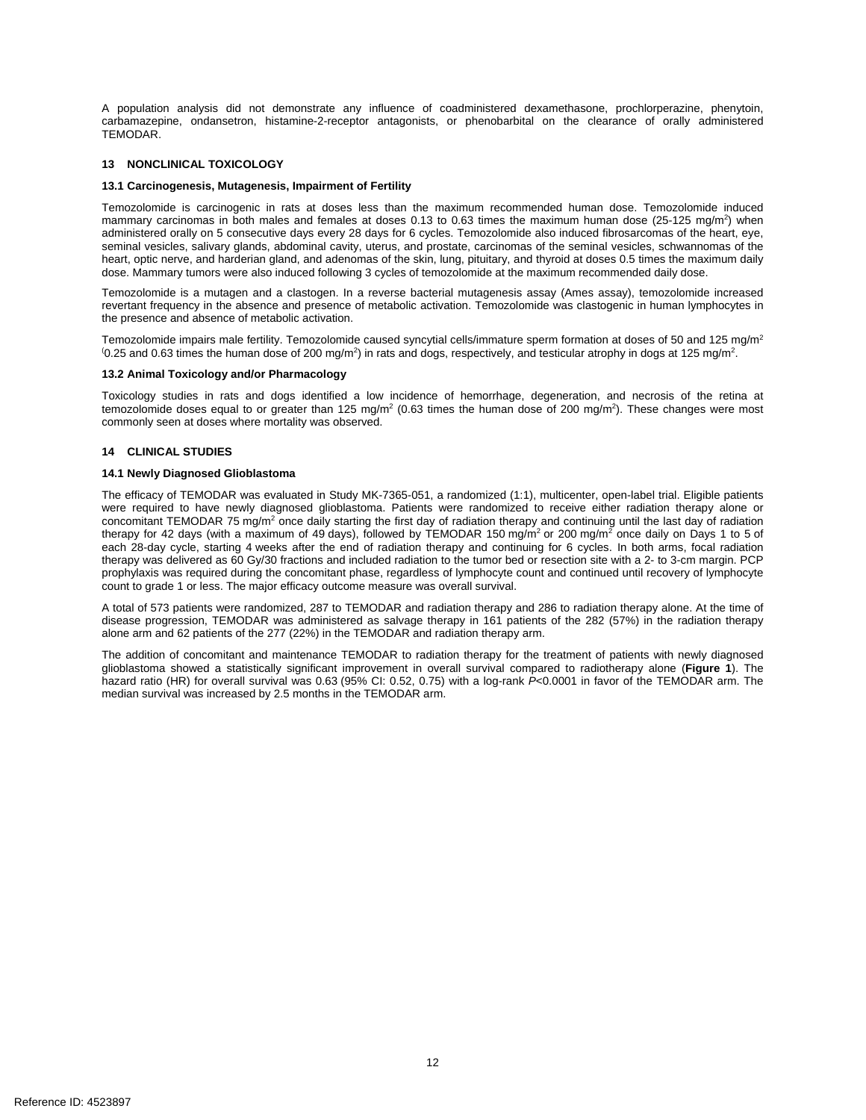A population analysis did not demonstrate any influence of coadministered dexamethasone, prochlorperazine, phenytoin, carbamazepine, ondansetron, histamine-2-receptor antagonists, or phenobarbital on the clearance of orally administered TEMODAR.

## **13 NONCLINICAL TOXICOLOGY**

## **13.1 Carcinogenesis, Mutagenesis, Impairment of Fertility**

 seminal vesicles, salivary glands, abdominal cavity, uterus, and prostate, carcinomas of the seminal vesicles, schwannomas of the dose. Mammary tumors were also induced following 3 cycles of temozolomide at the maximum recommended daily dose. Temozolomide is carcinogenic in rats at doses less than the maximum recommended human dose. Temozolomide induced mammary carcinomas in both males and females at doses 0.13 to 0.63 times the maximum human dose (25-125 mg/m<sup>2</sup>) when administered orally on 5 consecutive days every 28 days for 6 cycles. Temozolomide also induced fibrosarcomas of the heart, eye, heart, optic nerve, and harderian gland, and adenomas of the skin, lung, pituitary, and thyroid at doses 0.5 times the maximum daily

Temozolomide is a mutagen and a clastogen. In a reverse bacterial mutagenesis assay (Ames assay), temozolomide increased revertant frequency in the absence and presence of metabolic activation. Temozolomide was clastogenic in human lymphocytes in the presence and absence of metabolic activation.

Temozolomide impairs male fertility. Temozolomide caused syncytial cells/immature sperm formation at doses of 50 and 125 mg/m<sup>2</sup>  $(0.25$  and 0.63 times the human dose of 200 mg/m<sup>2</sup>) in rats and dogs, respectively, and testicular atrophy in dogs at 125 mg/m<sup>2</sup>.

## **13.2 Animal Toxicology and/or Pharmacology**

 Toxicology studies in rats and dogs identified a low incidence of hemorrhage, degeneration, and necrosis of the retina at temozolomide doses equal to or greater than 125 mg/m<sup>2</sup> (0.63 times the human dose of 200 mg/m<sup>2</sup>). These changes were most commonly seen at doses where mortality was observed.

## **14 CLINICAL STUDIES**

## **14.1 Newly Diagnosed Glioblastoma**

 The efficacy of TEMODAR was evaluated in Study MK-7365-051, a randomized (1:1), multicenter, open-label trial. Eligible patients concomitant TEMODAR 75 mg/m<sup>2</sup> once daily starting the first day of radiation therapy and continuing until the last day of radiation therapy for 42 days (with a maximum of 49 days), followed by TEMODAR 150 mg/m<sup>2</sup> or 200 mg/m<sup>2</sup> once daily on Days 1 to 5 of each 28-day cycle, starting 4 weeks after the end of radiation therapy and continuing for 6 cycles. In both arms, focal radiation therapy was delivered as 60 Gy/30 fractions and included radiation to the tumor bed or resection site with a 2- to 3-cm margin. PCP prophylaxis was required during the concomitant phase, regardless of lymphocyte count and continued until recovery of lymphocyte count to grade 1 or less. The major efficacy outcome measure was overall survival. were required to have newly diagnosed glioblastoma. Patients were randomized to receive either radiation therapy alone or

 A total of 573 patients were randomized, 287 to TEMODAR and radiation therapy and 286 to radiation therapy alone. At the time of disease progression, TEMODAR was administered as salvage therapy in 161 patients of the 282 (57%) in the radiation therapy alone arm and 62 patients of the 277 (22%) in the TEMODAR and radiation therapy arm.

 The addition of concomitant and maintenance TEMODAR to radiation therapy for the treatment of patients with newly diagnosed glioblastoma showed a statistically significant improvement in overall survival compared to radiotherapy alone (**Figure 1**). The hazard ratio (HR) for overall survival was 0.63 (95% CI: 0.52, 0.75) with a log-rank *P*<0.0001 in favor of the TEMODAR arm. The median survival was increased by 2.5 months in the TEMODAR arm.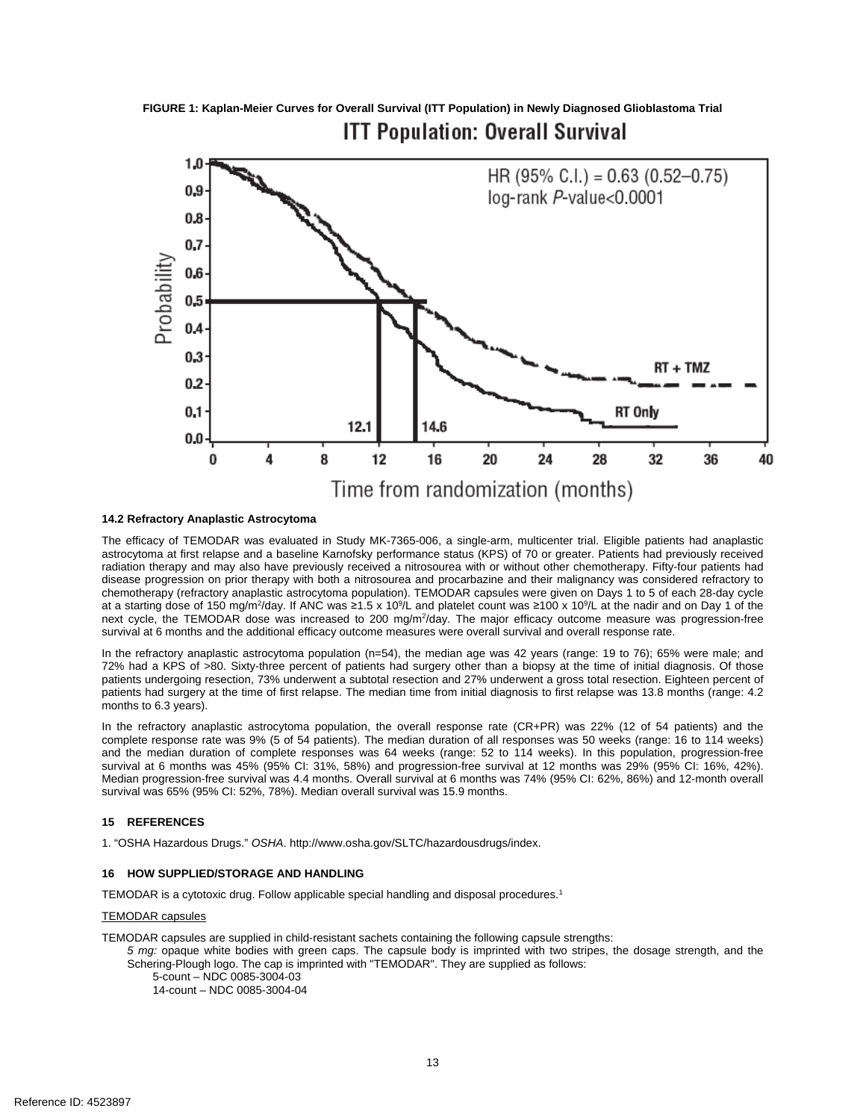**FIGURE 1: Kaplan-Meier Curves for Overall Survival (ITT Population) in Newly Diagnosed Glioblastoma Trial ITT Population: Overall Survival** 



## **14.2 Refractory Anaplastic Astrocytoma**

 The efficacy of TEMODAR was evaluated in Study MK-7365-006, a single-arm, multicenter trial. Eligible patients had anaplastic astrocytoma at first relapse and a baseline Karnofsky performance status (KPS) of 70 or greater. Patients had previously received disease progression on prior therapy with both a nitrosourea and procarbazine and their malignancy was considered refractory to at a starting dose of 150 mg/m<sup>2</sup>/day. If ANC was ≥1.5 x 10<sup>9</sup>/L and platelet count was ≥100 x 10<sup>9</sup>/L at the nadir and on Day 1 of the survival at 6 months and the additional efficacy outcome measures were overall survival and overall response rate. radiation therapy and may also have previously received a nitrosourea with or without other chemotherapy. Fifty-four patients had chemotherapy (refractory anaplastic astrocytoma population). TEMODAR capsules were given on Days 1 to 5 of each 28-day cycle next cycle, the TEMODAR dose was increased to 200 mg/m<sup>2</sup>/day. The major efficacy outcome measure was progression-free

 In the refractory anaplastic astrocytoma population (n=54), the median age was 42 years (range: 19 to 76); 65% were male; and 72% had a KPS of >80. Sixty-three percent of patients had surgery other than a biopsy at the time of initial diagnosis. Of those patients undergoing resection, 73% underwent a subtotal resection and 27% underwent a gross total resection. Eighteen percent of patients had surgery at the time of first relapse. The median time from initial diagnosis to first relapse was 13.8 months (range: 4.2 months to 6.3 years).

 In the refractory anaplastic astrocytoma population, the overall response rate (CR+PR) was 22% (12 of 54 patients) and the complete response rate was 9% (5 of 54 patients). The median duration of all responses was 50 weeks (range: 16 to 114 weeks) and the median duration of complete responses was 64 weeks (range: 52 to 114 weeks). In this population, progression-free Median progression-free survival was 4.4 months. Overall survival at 6 months was 74% (95% CI: 62%, 86%) and 12-month overall survival at 6 months was 45% (95% CI: 31%, 58%) and progression-free survival at 12 months was 29% (95% CI: 16%, 42%). survival was 65% (95% CI: 52%, 78%). Median overall survival was 15.9 months.

## **15 REFERENCES**

1. "OSHA Hazardous Drugs." *OSHA*. http://www.osha.gov/SLTC/hazardousdrugs/index.

#### **16 HOW SUPPLIED/STORAGE AND HANDLING**

TEMODAR is a cytotoxic drug. Follow applicable special handling and disposal procedures.1

#### TEMODAR capsules

TEMODAR capsules are supplied in child-resistant sachets containing the following capsule strengths:

 *5 mg:* opaque white bodies with green caps. The capsule body is imprinted with two stripes, the dosage strength, and the Schering-Plough logo. The cap is imprinted with "TEMODAR". They are supplied as follows:

5-count – NDC 0085-3004-03 14-count – NDC 0085-3004-04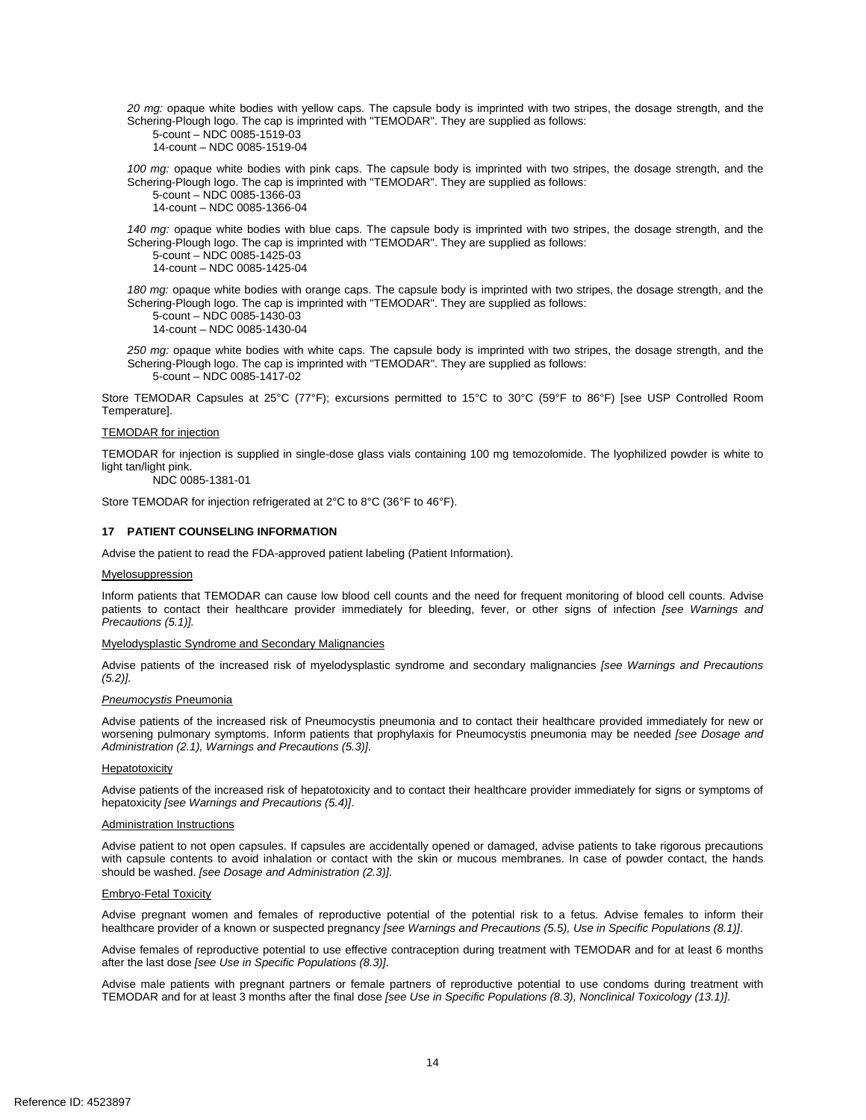*20 mg:* opaque white bodies with yellow caps. The capsule body is imprinted with two stripes, the dosage strength, and the Schering-Plough logo. The cap is imprinted with "TEMODAR". They are supplied as follows:

5-count – NDC 0085-1519-03 14-count – NDC 0085-1519-04

 *100 mg:* opaque white bodies with pink caps. The capsule body is imprinted with two stripes, the dosage strength, and the Schering-Plough logo. The cap is imprinted with "TEMODAR". They are supplied as follows: 5-count – NDC 0085-1366-03

14-count – NDC 0085-1366-04

*140 mg:* opaque white bodies with blue caps. The capsule body is imprinted with two stripes, the dosage strength, and the Schering-Plough logo. The cap is imprinted with "TEMODAR". They are supplied as follows:

5-count – NDC 0085-1425-03 14-count – NDC 0085-1425-04

 Schering-Plough logo. The cap is imprinted with "TEMODAR". They are supplied as follows: *180 mg:* opaque white bodies with orange caps. The capsule body is imprinted with two stripes, the dosage strength, and the

5-count – NDC 0085-1430-03 14-count – NDC 0085-1430-04

 *250 mg:* opaque white bodies with white caps. The capsule body is imprinted with two stripes, the dosage strength, and the Schering-Plough logo. The cap is imprinted with "TEMODAR". They are supplied as follows: 5-count – NDC 0085-1417-02

Store TEMODAR Capsules at 25°C (77°F); excursions permitted to 15°C to 30°C (59°F to 86°F) [see USP Controlled Room Temperature].

## TEMODAR for injection

 TEMODAR for injection is supplied in single-dose glass vials containing 100 mg temozolomide. The lyophilized powder is white to light tan/light pink.

NDC 0085-1381-01

Store TEMODAR for injection refrigerated at 2°C to 8°C (36°F to 46°F).

## **17 PATIENT COUNSELING INFORMATION**

Advise the patient to read the FDA-approved patient labeling (Patient Information).

#### Myelosuppression

 Inform patients that TEMODAR can cause low blood cell counts and the need for frequent monitoring of blood cell counts. Advise patients to contact their healthcare provider immediately for bleeding, fever, or other signs of infection *[see Warnings and Precautions (5.1)].* 

#### Myelodysplastic Syndrome and Secondary Malignancies

 $(5.2)$ . Advise patients of the increased risk of myelodysplastic syndrome and secondary malignancies *[see Warnings and Precautions* 

## *(5.2)]. Pneumocystis* Pneumonia

 Advise patients of the increased risk of Pneumocystis pneumonia and to contact their healthcare provided immediately for new or worsening pulmonary symptoms. Inform patients that prophylaxis for Pneumocystis pneumonia may be needed *[see Dosage and Administration (2.1), Warnings and Precautions (5.3)]*.

## Hepatotoxicity

Advise patients of the increased risk of hepatotoxicity and to contact their healthcare provider immediately for signs or symptoms of hepatoxicity *[see Warnings and Precautions (5.4)]*.

#### Administration Instructions

 Advise patient to not open capsules. If capsules are accidentally opened or damaged, advise patients to take rigorous precautions with capsule contents to avoid inhalation or contact with the skin or mucous membranes. In case of powder contact, the hands should be washed. *[see Dosage and Administration (2.3)]*.

## Embryo-Fetal Toxicity

Advise pregnant women and females of reproductive potential of the potential risk to a fetus. Advise females to inform their healthcare provider of a known or suspected pregnancy *[see Warnings and Precautions (5.5), Use in Specific Populations (8.1)]*.

Advise females of reproductive potential to use effective contraception during treatment with TEMODAR and for at least 6 months after the last dose *[see Use in Specific Populations (8.3)]*.

Advise male patients with pregnant partners or female partners of reproductive potential to use condoms during treatment with TEMODAR and for at least 3 months after the final dose *[see Use in Specific Populations (8.3), Nonclinical Toxicology (13.1)]*.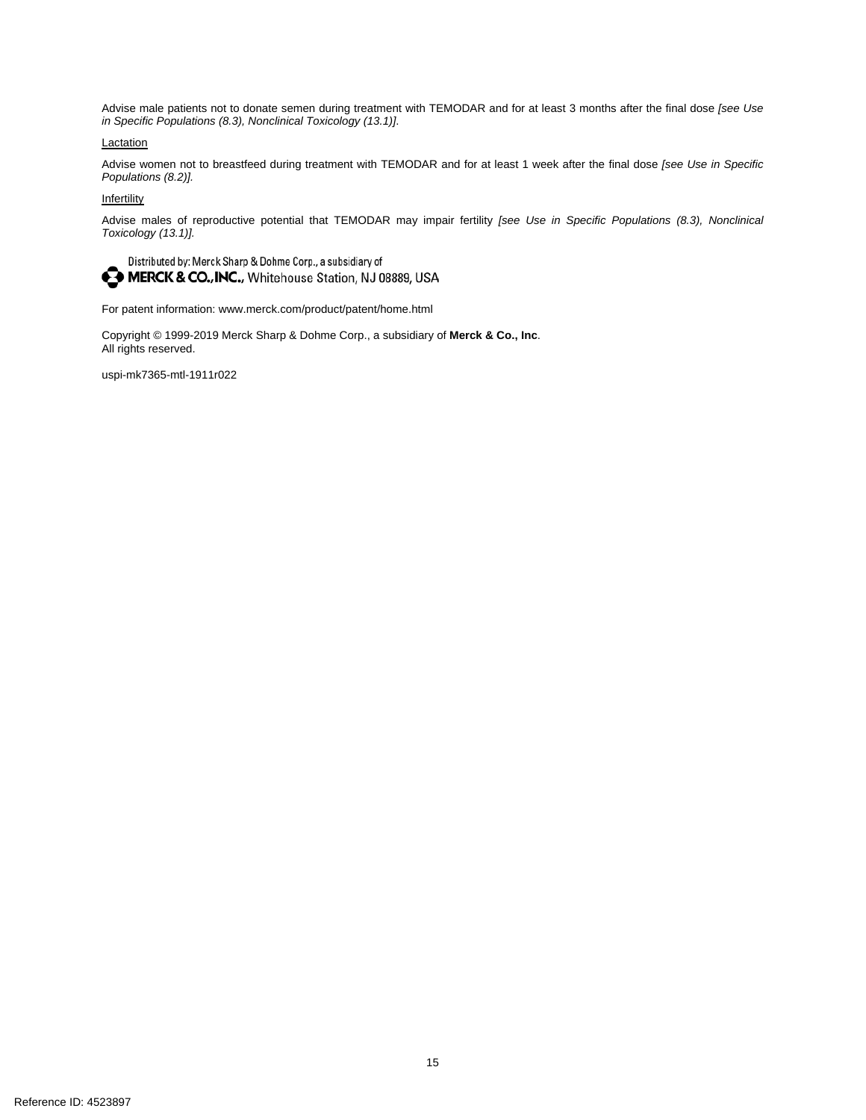Advise male patients not to donate semen during treatment with TEMODAR and for at least 3 months after the final dose *[see Use in Specific Populations (8.3), Nonclinical Toxicology (13.1)]*.

## **Lactation**

 Advise women not to breastfeed during treatment with TEMODAR and for at least 1 week after the final dose *[see Use in Specific Populations (8.2)].* 

## **Infertility**

Advise males of reproductive potential that TEMODAR may impair fertility *[see Use in Specific Populations (8.3), Nonclinical Toxicology (13.1)].* 

Distributed by: Merck Sharp & Dohme Corp., a subsidiary of MERCK & CO., INC., Whitehouse Station, NJ 08889, USA

For patent information: www.merck.com/product/patent/home.html

Copyright © 1999-2019 Merck Sharp & Dohme Corp., a subsidiary of **Merck & Co., Inc**. All rights reserved.

uspi-mk7365-mtl-1911r022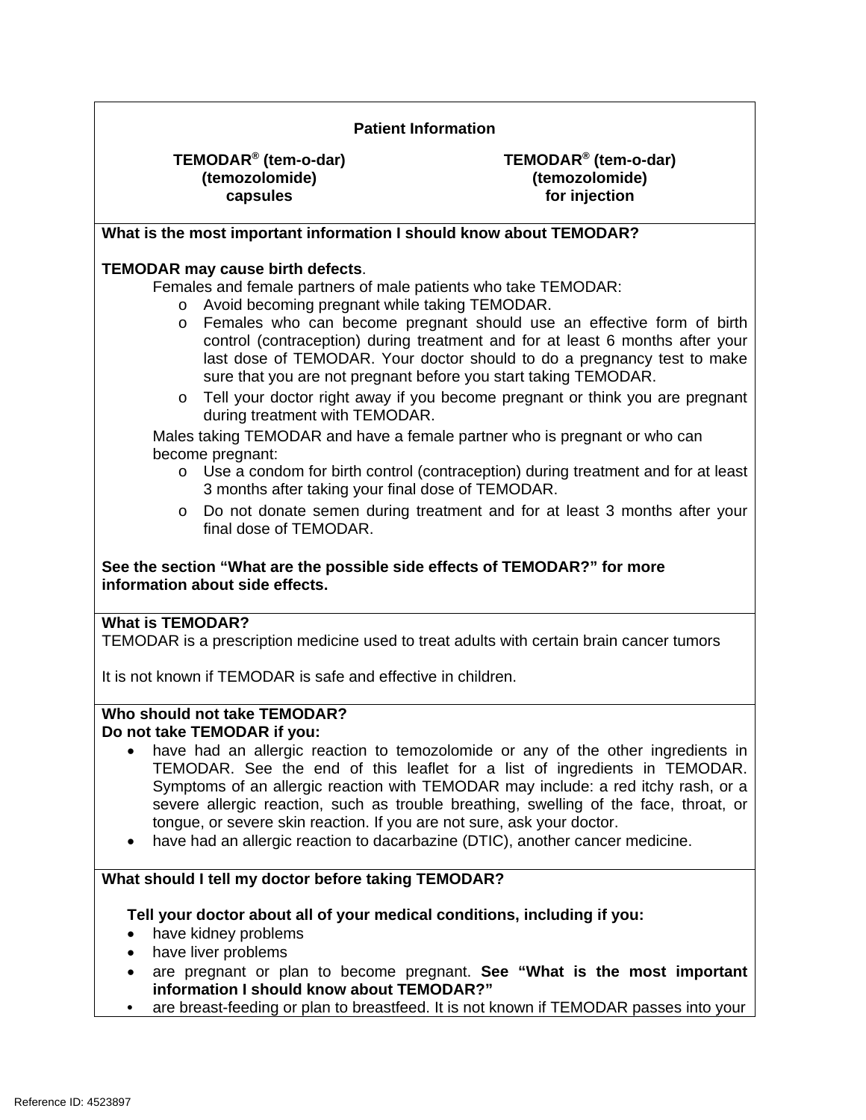| <b>Patient Information</b>                                                                                                                                                                                                                                                                                                                                                                                                                                                                                                                                                                                      |                                                                                                                                                                                                                                                                                                                                                                                                                                                                                    |
|-----------------------------------------------------------------------------------------------------------------------------------------------------------------------------------------------------------------------------------------------------------------------------------------------------------------------------------------------------------------------------------------------------------------------------------------------------------------------------------------------------------------------------------------------------------------------------------------------------------------|------------------------------------------------------------------------------------------------------------------------------------------------------------------------------------------------------------------------------------------------------------------------------------------------------------------------------------------------------------------------------------------------------------------------------------------------------------------------------------|
| TEMODAR <sup>®</sup> (tem-o-dar)<br>(temozolomide)<br>capsules                                                                                                                                                                                                                                                                                                                                                                                                                                                                                                                                                  | TEMODAR <sup>®</sup> (tem-o-dar)<br>(temozolomide)<br>for injection                                                                                                                                                                                                                                                                                                                                                                                                                |
| What is the most important information I should know about TEMODAR?                                                                                                                                                                                                                                                                                                                                                                                                                                                                                                                                             |                                                                                                                                                                                                                                                                                                                                                                                                                                                                                    |
| TEMODAR may cause birth defects.<br>Females and female partners of male patients who take TEMODAR:<br>Avoid becoming pregnant while taking TEMODAR.<br>$\circ$<br>$\circ$<br>sure that you are not pregnant before you start taking TEMODAR.<br>$\circ$<br>during treatment with TEMODAR.<br>Males taking TEMODAR and have a female partner who is pregnant or who can<br>become pregnant:<br>$\circ$<br>3 months after taking your final dose of TEMODAR.<br>$\circ$<br>final dose of TEMODAR.<br>See the section "What are the possible side effects of TEMODAR?" for more<br>information about side effects. | Females who can become pregnant should use an effective form of birth<br>control (contraception) during treatment and for at least 6 months after your<br>last dose of TEMODAR. Your doctor should to do a pregnancy test to make<br>Tell your doctor right away if you become pregnant or think you are pregnant<br>Use a condom for birth control (contraception) during treatment and for at least<br>Do not donate semen during treatment and for at least 3 months after your |
| <b>What is TEMODAR?</b><br>TEMODAR is a prescription medicine used to treat adults with certain brain cancer tumors                                                                                                                                                                                                                                                                                                                                                                                                                                                                                             |                                                                                                                                                                                                                                                                                                                                                                                                                                                                                    |
| It is not known if TEMODAR is safe and effective in children.                                                                                                                                                                                                                                                                                                                                                                                                                                                                                                                                                   |                                                                                                                                                                                                                                                                                                                                                                                                                                                                                    |
| Who should not take TEMODAR?<br>Do not take TEMODAR if you:<br>tongue, or severe skin reaction. If you are not sure, ask your doctor.<br>have had an allergic reaction to dacarbazine (DTIC), another cancer medicine.<br>$\bullet$                                                                                                                                                                                                                                                                                                                                                                             | have had an allergic reaction to temozolomide or any of the other ingredients in<br>TEMODAR. See the end of this leaflet for a list of ingredients in TEMODAR.<br>Symptoms of an allergic reaction with TEMODAR may include: a red itchy rash, or a<br>severe allergic reaction, such as trouble breathing, swelling of the face, throat, or                                                                                                                                       |
| What should I tell my doctor before taking TEMODAR?<br>Tell your doctor about all of your medical conditions, including if you:<br>have kidney problems<br>٠<br>have liver problems<br>$\bullet$<br>$\bullet$<br>information I should know about TEMODAR?"                                                                                                                                                                                                                                                                                                                                                      | are pregnant or plan to become pregnant. See "What is the most important                                                                                                                                                                                                                                                                                                                                                                                                           |
| $\bullet$                                                                                                                                                                                                                                                                                                                                                                                                                                                                                                                                                                                                       | are breast-feeding or plan to breastfeed. It is not known if TEMODAR passes into your                                                                                                                                                                                                                                                                                                                                                                                              |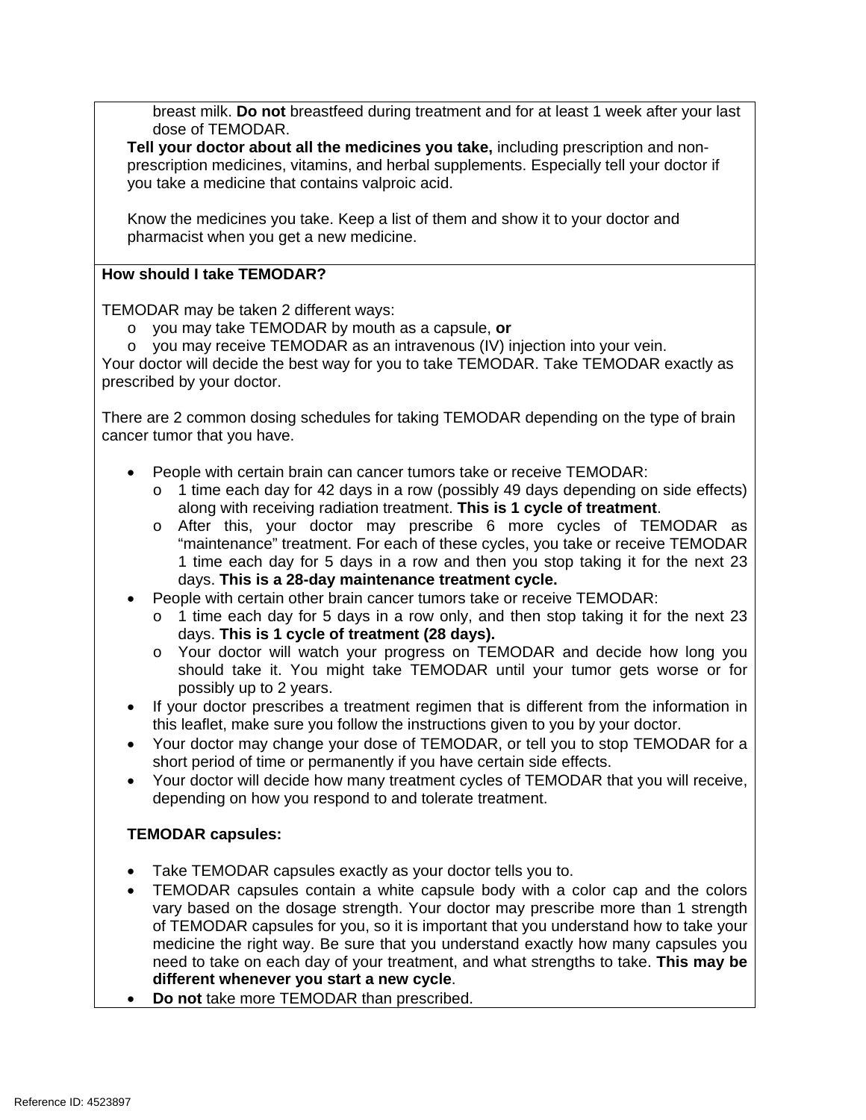breast milk. **Do not** breastfeed during treatment and for at least 1 week after your last dose of TEMODAR.

 you take a medicine that contains valproic acid. **Tell your doctor about all the medicines you take,** including prescription and nonprescription medicines, vitamins, and herbal supplements. Especially tell your doctor if

Know the medicines you take. Keep a list of them and show it to your doctor and pharmacist when you get a new medicine.

# **How should I take TEMODAR?**

TEMODAR may be taken 2 different ways:

- o you may take TEMODAR by mouth as a capsule, **or**
- o you may receive TEMODAR as an intravenous (IV) injection into your vein.

Your doctor will decide the best way for you to take TEMODAR. Take TEMODAR exactly as prescribed by your doctor.

There are 2 common dosing schedules for taking TEMODAR depending on the type of brain cancer tumor that you have.

- People with certain brain can cancer tumors take or receive TEMODAR:
	- o 1 time each day for 42 days in a row (possibly 49 days depending on side effects) along with receiving radiation treatment. **This is 1 cycle of treatment**.
	- days. **This is a 28-day maintenance treatment cycle.**  o After this, your doctor may prescribe 6 more cycles of TEMODAR as "maintenance" treatment. For each of these cycles, you take or receive TEMODAR 1 time each day for 5 days in a row and then you stop taking it for the next 23
- People with certain other brain cancer tumors take or receive TEMODAR:
	- o 1 time each day for 5 days in a row only, and then stop taking it for the next 23 days. **This is 1 cycle of treatment (28 days).**
	- o Your doctor will watch your progress on TEMODAR and decide how long you should take it. You might take TEMODAR until your tumor gets worse or for possibly up to 2 years.
- • If your doctor prescribes a treatment regimen that is different from the information in this leaflet, make sure you follow the instructions given to you by your doctor.
- Your doctor may change your dose of TEMODAR, or tell you to stop TEMODAR for a short period of time or permanently if you have certain side effects.
- Your doctor will decide how many treatment cycles of TEMODAR that you will receive, depending on how you respond to and tolerate treatment.

# **TEMODAR capsules:**

- Take TEMODAR capsules exactly as your doctor tells you to.
- medicine the right way. Be sure that you understand exactly how many capsules you  need to take on each day of your treatment, and what strengths to take. **This may be**  • TEMODAR capsules contain a white capsule body with a color cap and the colors vary based on the dosage strength. Your doctor may prescribe more than 1 strength of TEMODAR capsules for you, so it is important that you understand how to take your **different whenever you start a new cycle**.
- **Do not** take more TEMODAR than prescribed.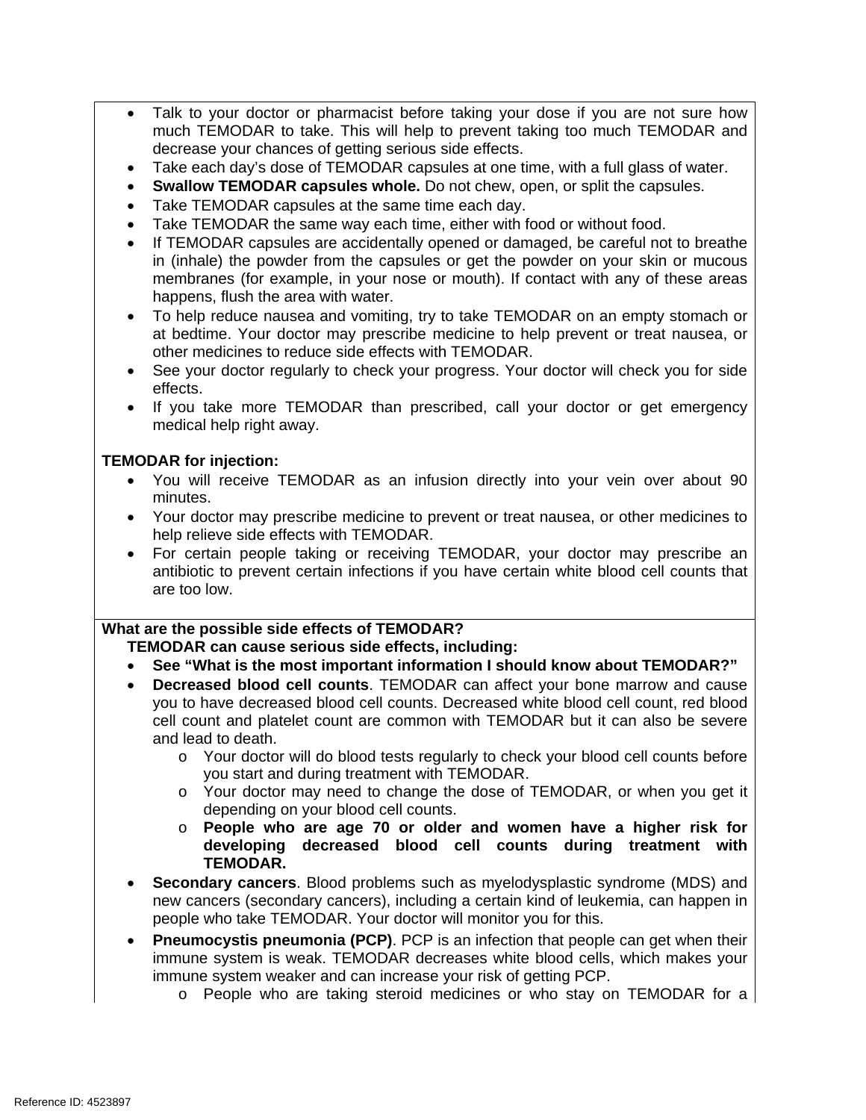- Talk to your doctor or pharmacist before taking your dose if you are not sure how much TEMODAR to take. This will help to prevent taking too much TEMODAR and decrease your chances of getting serious side effects.
- Take each day's dose of TEMODAR capsules at one time, with a full glass of water.
- Swallow TEMODAR capsules whole. Do not chew, open, or split the capsules.
- Take TEMODAR capsules at the same time each day.
- Take TEMODAR the same way each time, either with food or without food.
- If TEMODAR capsules are accidentally opened or damaged, be careful not to breathe in (inhale) the powder from the capsules or get the powder on your skin or mucous membranes (for example, in your nose or mouth). If contact with any of these areas happens, flush the area with water.
- To help reduce nausea and vomiting, try to take TEMODAR on an empty stomach or at bedtime. Your doctor may prescribe medicine to help prevent or treat nausea, or other medicines to reduce side effects with TEMODAR.
- See your doctor regularly to check your progress. Your doctor will check you for side effects.
- If you take more TEMODAR than prescribed, call your doctor or get emergency medical help right away.

# **TEMODAR for injection:**

- You will receive TEMODAR as an infusion directly into your vein over about 90 minutes.
- Your doctor may prescribe medicine to prevent or treat nausea, or other medicines to help relieve side effects with TEMODAR.
- For certain people taking or receiving TEMODAR, your doctor may prescribe an antibiotic to prevent certain infections if you have certain white blood cell counts that are too low.

# **What are the possible side effects of TEMODAR?**

**TEMODAR can cause serious side effects, including:** 

- • **See "What is the most important information I should know about TEMODAR?"**
- • **Decreased blood cell counts**. TEMODAR can affect your bone marrow and cause cell count and platelet count are common with TEMODAR but it can also be severe you to have decreased blood cell counts. Decreased white blood cell count, red blood and lead to death.
	- o Your doctor will do blood tests regularly to check your blood cell counts before you start and during treatment with TEMODAR.
	- $\circ$  Your doctor may need to change the dose of TEMODAR, or when you get it depending on your blood cell counts.
	- o **People who are age 70 or older and women have a higher risk for developing decreased blood cell counts during treatment with TEMODAR.**
- **Secondary cancers**. Blood problems such as myelodysplastic syndrome (MDS) and new cancers (secondary cancers), including a certain kind of leukemia, can happen in people who take TEMODAR. Your doctor will monitor you for this.
- **Pneumocystis pneumonia (PCP)**. PCP is an infection that people can get when their immune system is weak. TEMODAR decreases white blood cells, which makes your immune system weaker and can increase your risk of getting PCP.
	- $\circ$  People who are taking steroid medicines or who stay on TEMODAR for a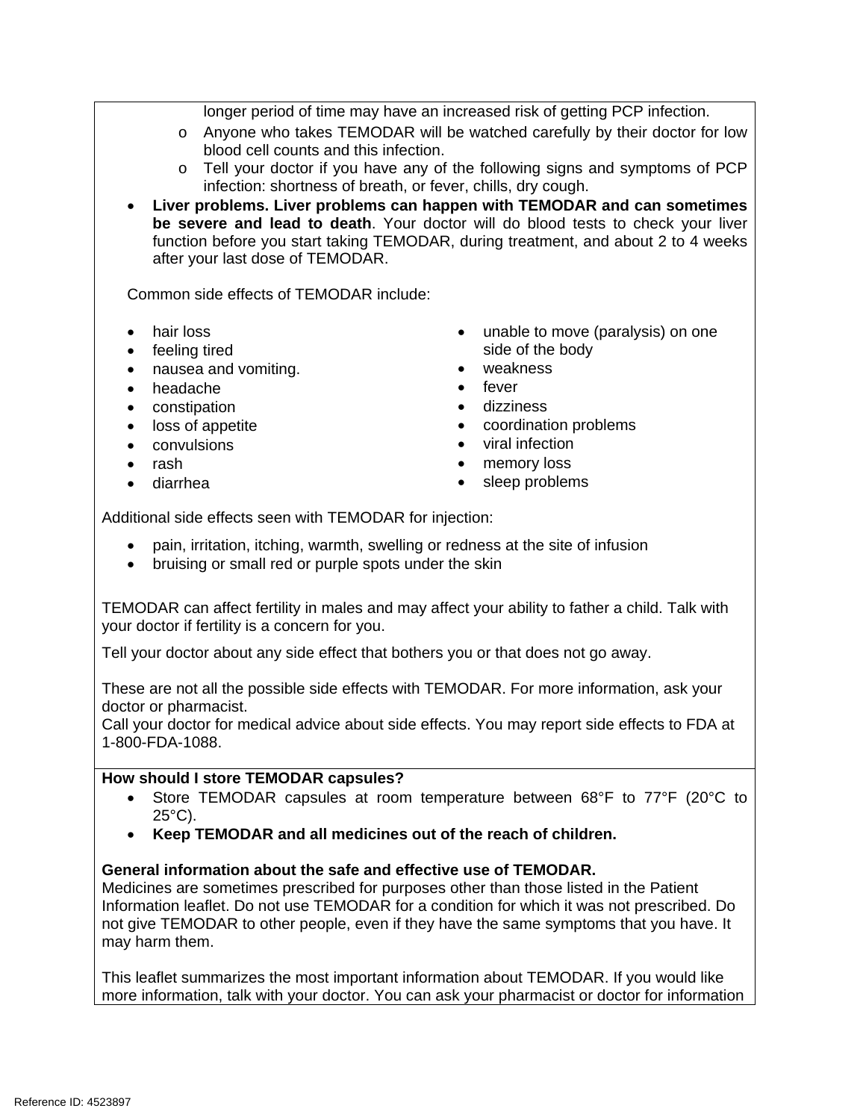longer period of time may have an increased risk of getting PCP infection.

- o Anyone who takes TEMODAR will be watched carefully by their doctor for low blood cell counts and this infection.
- o Tell your doctor if you have any of the following signs and symptoms of PCP infection: shortness of breath, or fever, chills, dry cough.
- **Liver problems. Liver problems can happen with TEMODAR and can sometimes be severe and lead to death**. Your doctor will do blood tests to check your liver function before you start taking TEMODAR, during treatment, and about 2 to 4 weeks after your last dose of TEMODAR.

Common side effects of TEMODAR include:

- hair loss
- feeling tired
- nausea and vomiting.
- headache
- constipation
- loss of appetite
- convulsions
- rash
- diarrhea
- unable to move (paralysis) on one side of the body
- weakness
- fever
- dizziness
- coordination problems
- viral infection
- $\bullet$ memory loss
- sleep problems

Additional side effects seen with TEMODAR for injection:

- pain, irritation, itching, warmth, swelling or redness at the site of infusion
- bruising or small red or purple spots under the skin

TEMODAR can affect fertility in males and may affect your ability to father a child. Talk with your doctor if fertility is a concern for you.

Tell your doctor about any side effect that bothers you or that does not go away.

These are not all the possible side effects with TEMODAR. For more information, ask your doctor or pharmacist.

 1-800-FDA-1088. Call your doctor for medical advice about side effects. You may report side effects to FDA at

# **How should I store TEMODAR capsules?**

- • Store TEMODAR capsules at room temperature between 68°F to 77°F (20°C to 25°C).
- **Keep TEMODAR and all medicines out of the reach of children.**

# **General information about the safe and effective use of TEMODAR.**

Medicines are sometimes prescribed for purposes other than those listed in the Patient Information leaflet. Do not use TEMODAR for a condition for which it was not prescribed. Do not give TEMODAR to other people, even if they have the same symptoms that you have. It may harm them.

This leaflet summarizes the most important information about TEMODAR. If you would like more information, talk with your doctor. You can ask your pharmacist or doctor for information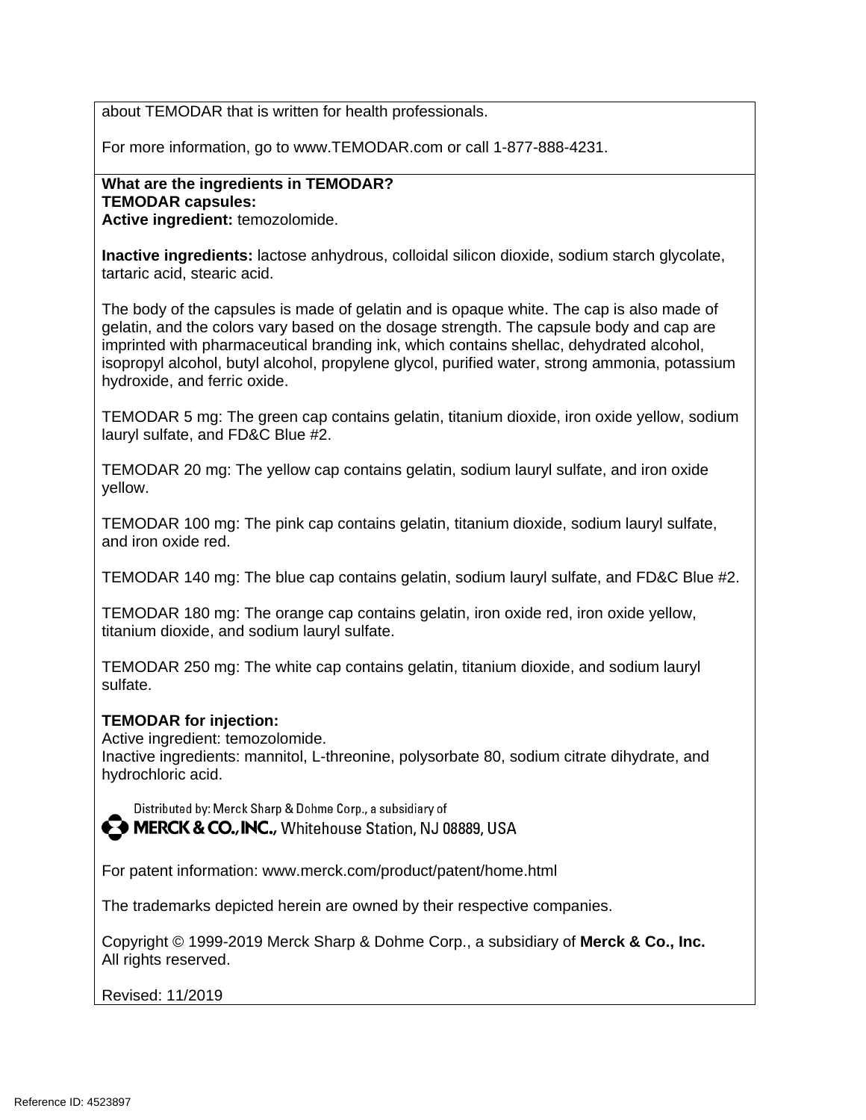about TEMODAR that is written for health professionals.

For more information, go to www.TEMODAR.com or call 1-877-888-4231.

## **What are the ingredients in TEMODAR? TEMODAR capsules: Active ingredient:** temozolomide.

**Inactive ingredients:** lactose anhydrous, colloidal silicon dioxide, sodium starch glycolate, tartaric acid, stearic acid.

The body of the capsules is made of gelatin and is opaque white. The cap is also made of gelatin, and the colors vary based on the dosage strength. The capsule body and cap are imprinted with pharmaceutical branding ink, which contains shellac, dehydrated alcohol, isopropyl alcohol, butyl alcohol, propylene glycol, purified water, strong ammonia, potassium hydroxide, and ferric oxide.

TEMODAR 5 mg: The green cap contains gelatin, titanium dioxide, iron oxide yellow, sodium lauryl sulfate, and FD&C Blue #2.

TEMODAR 20 mg: The yellow cap contains gelatin, sodium lauryl sulfate, and iron oxide yellow.

TEMODAR 100 mg: The pink cap contains gelatin, titanium dioxide, sodium lauryl sulfate, and iron oxide red.

TEMODAR 140 mg: The blue cap contains gelatin, sodium lauryl sulfate, and FD&C Blue #2.

TEMODAR 180 mg: The orange cap contains gelatin, iron oxide red, iron oxide yellow, titanium dioxide, and sodium lauryl sulfate.

TEMODAR 250 mg: The white cap contains gelatin, titanium dioxide, and sodium lauryl sulfate.

# **TEMODAR for injection:**

Active ingredient: temozolomide.

Inactive ingredients: mannitol, L-threonine, polysorbate 80, sodium citrate dihydrate, and hydrochloric acid.

Distributed by: Merck Sharp & Dohme Corp., a subsidiary of

**A MERCK & CO., INC., Whitehouse Station, NJ 08889, USA** 

For patent information: www.merck.com/product/patent/home.html

The trademarks depicted herein are owned by their respective companies.

 Copyright © 1999-2019 Merck Sharp & Dohme Corp., a subsidiary of **Merck & Co., Inc.** All rights reserved.

Revised: 11/2019